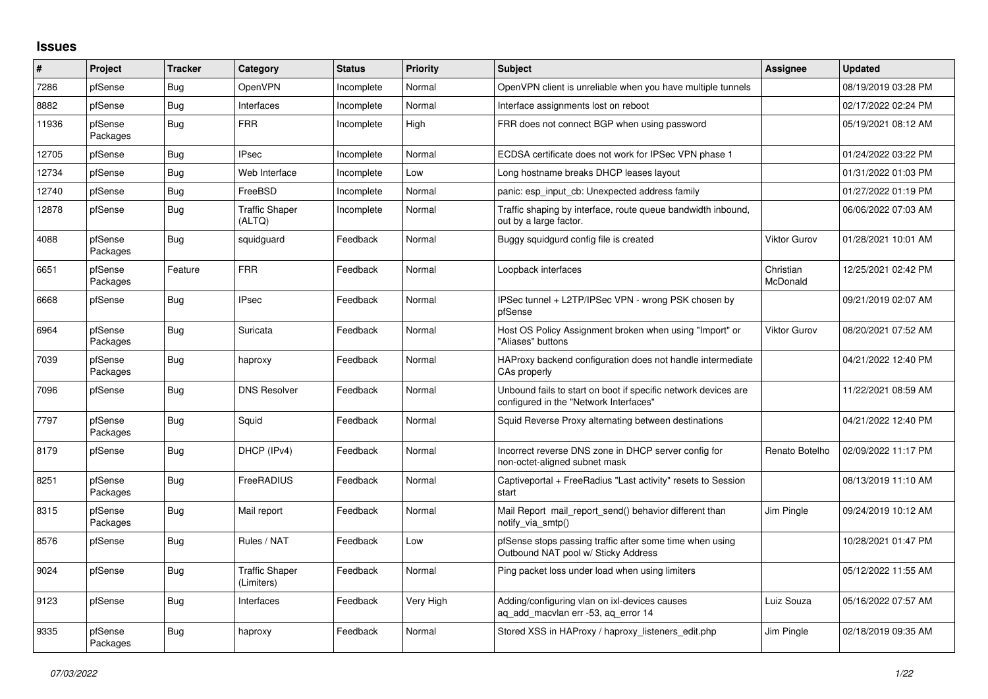## **Issues**

| ∦     | Project             | <b>Tracker</b> | Category                            | <b>Status</b> | <b>Priority</b> | <b>Subject</b>                                                                                           | Assignee              | <b>Updated</b>      |
|-------|---------------------|----------------|-------------------------------------|---------------|-----------------|----------------------------------------------------------------------------------------------------------|-----------------------|---------------------|
| 7286  | pfSense             | Bug            | OpenVPN                             | Incomplete    | Normal          | OpenVPN client is unreliable when you have multiple tunnels                                              |                       | 08/19/2019 03:28 PM |
| 8882  | pfSense             | <b>Bug</b>     | Interfaces                          | Incomplete    | Normal          | Interface assignments lost on reboot                                                                     |                       | 02/17/2022 02:24 PM |
| 11936 | pfSense<br>Packages | <b>Bug</b>     | <b>FRR</b>                          | Incomplete    | High            | FRR does not connect BGP when using password                                                             |                       | 05/19/2021 08:12 AM |
| 12705 | pfSense             | <b>Bug</b>     | <b>IPsec</b>                        | Incomplete    | Normal          | ECDSA certificate does not work for IPSec VPN phase 1                                                    |                       | 01/24/2022 03:22 PM |
| 12734 | pfSense             | <b>Bug</b>     | Web Interface                       | Incomplete    | Low             | Long hostname breaks DHCP leases layout                                                                  |                       | 01/31/2022 01:03 PM |
| 12740 | pfSense             | Bug            | FreeBSD                             | Incomplete    | Normal          | panic: esp input cb: Unexpected address family                                                           |                       | 01/27/2022 01:19 PM |
| 12878 | pfSense             | <b>Bug</b>     | <b>Traffic Shaper</b><br>(ALTQ)     | Incomplete    | Normal          | Traffic shaping by interface, route queue bandwidth inbound,<br>out by a large factor.                   |                       | 06/06/2022 07:03 AM |
| 4088  | pfSense<br>Packages | <b>Bug</b>     | squidguard                          | Feedback      | Normal          | Buggy squidgurd config file is created                                                                   | <b>Viktor Gurov</b>   | 01/28/2021 10:01 AM |
| 6651  | pfSense<br>Packages | Feature        | <b>FRR</b>                          | Feedback      | Normal          | Loopback interfaces                                                                                      | Christian<br>McDonald | 12/25/2021 02:42 PM |
| 6668  | pfSense             | Bug            | <b>IPsec</b>                        | Feedback      | Normal          | IPSec tunnel + L2TP/IPSec VPN - wrong PSK chosen by<br>pfSense                                           |                       | 09/21/2019 02:07 AM |
| 6964  | pfSense<br>Packages | <b>Bug</b>     | Suricata                            | Feedback      | Normal          | Host OS Policy Assignment broken when using "Import" or<br>"Aliases" buttons                             | <b>Viktor Gurov</b>   | 08/20/2021 07:52 AM |
| 7039  | pfSense<br>Packages | Bug            | haproxy                             | Feedback      | Normal          | HAProxy backend configuration does not handle intermediate<br>CAs properly                               |                       | 04/21/2022 12:40 PM |
| 7096  | pfSense             | Bug            | <b>DNS Resolver</b>                 | Feedback      | Normal          | Unbound fails to start on boot if specific network devices are<br>configured in the "Network Interfaces" |                       | 11/22/2021 08:59 AM |
| 7797  | pfSense<br>Packages | <b>Bug</b>     | Squid                               | Feedback      | Normal          | Squid Reverse Proxy alternating between destinations                                                     |                       | 04/21/2022 12:40 PM |
| 8179  | pfSense             | Bug            | DHCP (IPv4)                         | Feedback      | Normal          | Incorrect reverse DNS zone in DHCP server config for<br>non-octet-aligned subnet mask                    | Renato Botelho        | 02/09/2022 11:17 PM |
| 8251  | pfSense<br>Packages | <b>Bug</b>     | FreeRADIUS                          | Feedback      | Normal          | Captiveportal + FreeRadius "Last activity" resets to Session<br>start                                    |                       | 08/13/2019 11:10 AM |
| 8315  | pfSense<br>Packages | Bug            | Mail report                         | Feedback      | Normal          | Mail Report mail report send() behavior different than<br>notify_via_smtp()                              | Jim Pingle            | 09/24/2019 10:12 AM |
| 8576  | pfSense             | Bug            | Rules / NAT                         | Feedback      | Low             | pfSense stops passing traffic after some time when using<br>Outbound NAT pool w/ Sticky Address          |                       | 10/28/2021 01:47 PM |
| 9024  | pfSense             | Bug            | <b>Traffic Shaper</b><br>(Limiters) | Feedback      | Normal          | Ping packet loss under load when using limiters                                                          |                       | 05/12/2022 11:55 AM |
| 9123  | pfSense             | Bug            | Interfaces                          | Feedback      | Very High       | Adding/configuring vlan on ixl-devices causes<br>ag add macvlan err -53, ag error 14                     | Luiz Souza            | 05/16/2022 07:57 AM |
| 9335  | pfSense<br>Packages | Bug            | haproxy                             | Feedback      | Normal          | Stored XSS in HAProxy / haproxy_listeners_edit.php                                                       | Jim Pingle            | 02/18/2019 09:35 AM |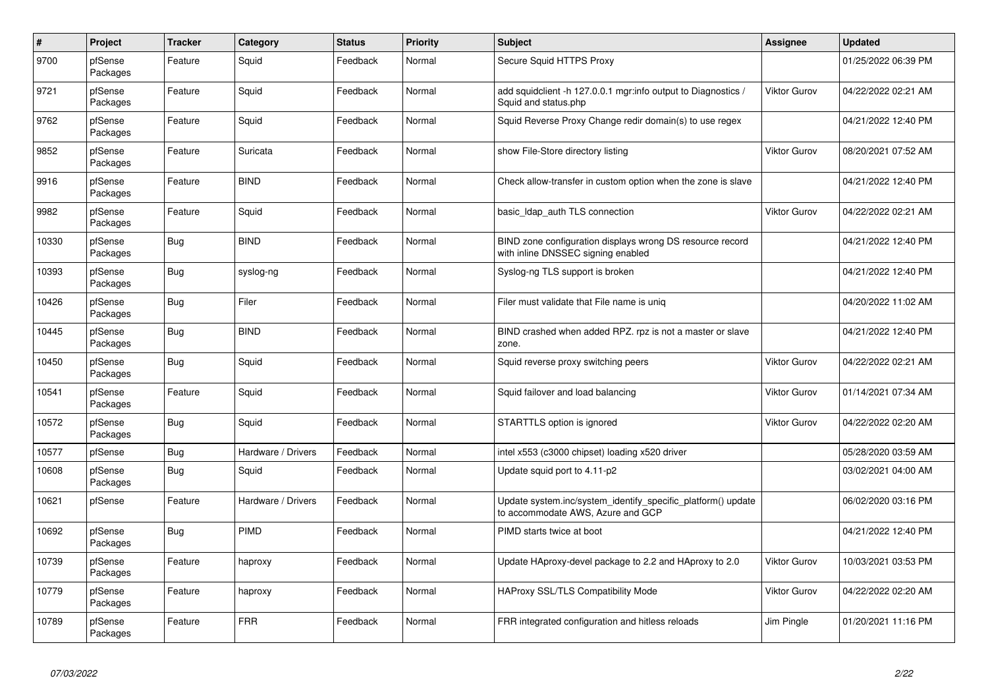| $\#$  | <b>Project</b>      | <b>Tracker</b> | Category           | <b>Status</b> | <b>Priority</b> | <b>Subject</b>                                                                                    | Assignee            | <b>Updated</b>      |
|-------|---------------------|----------------|--------------------|---------------|-----------------|---------------------------------------------------------------------------------------------------|---------------------|---------------------|
| 9700  | pfSense<br>Packages | Feature        | Squid              | Feedback      | Normal          | Secure Squid HTTPS Proxy                                                                          |                     | 01/25/2022 06:39 PM |
| 9721  | pfSense<br>Packages | Feature        | Squid              | Feedback      | Normal          | add squidclient -h 127.0.0.1 mgr:info output to Diagnostics /<br>Squid and status.php             | <b>Viktor Gurov</b> | 04/22/2022 02:21 AM |
| 9762  | pfSense<br>Packages | Feature        | Squid              | Feedback      | Normal          | Squid Reverse Proxy Change redir domain(s) to use regex                                           |                     | 04/21/2022 12:40 PM |
| 9852  | pfSense<br>Packages | Feature        | Suricata           | Feedback      | Normal          | show File-Store directory listing                                                                 | Viktor Gurov        | 08/20/2021 07:52 AM |
| 9916  | pfSense<br>Packages | Feature        | <b>BIND</b>        | Feedback      | Normal          | Check allow-transfer in custom option when the zone is slave                                      |                     | 04/21/2022 12:40 PM |
| 9982  | pfSense<br>Packages | Feature        | Squid              | Feedback      | Normal          | basic Idap auth TLS connection                                                                    | Viktor Gurov        | 04/22/2022 02:21 AM |
| 10330 | pfSense<br>Packages | Bug            | <b>BIND</b>        | Feedback      | Normal          | BIND zone configuration displays wrong DS resource record<br>with inline DNSSEC signing enabled   |                     | 04/21/2022 12:40 PM |
| 10393 | pfSense<br>Packages | Bug            | syslog-ng          | Feedback      | Normal          | Syslog-ng TLS support is broken                                                                   |                     | 04/21/2022 12:40 PM |
| 10426 | pfSense<br>Packages | <b>Bug</b>     | Filer              | Feedback      | Normal          | Filer must validate that File name is unig                                                        |                     | 04/20/2022 11:02 AM |
| 10445 | pfSense<br>Packages | Bug            | <b>BIND</b>        | Feedback      | Normal          | BIND crashed when added RPZ. rpz is not a master or slave<br>zone.                                |                     | 04/21/2022 12:40 PM |
| 10450 | pfSense<br>Packages | Bug            | Squid              | Feedback      | Normal          | Squid reverse proxy switching peers                                                               | Viktor Gurov        | 04/22/2022 02:21 AM |
| 10541 | pfSense<br>Packages | Feature        | Squid              | Feedback      | Normal          | Squid failover and load balancing                                                                 | Viktor Gurov        | 01/14/2021 07:34 AM |
| 10572 | pfSense<br>Packages | <b>Bug</b>     | Squid              | Feedback      | Normal          | STARTTLS option is ignored                                                                        | <b>Viktor Gurov</b> | 04/22/2022 02:20 AM |
| 10577 | pfSense             | Bug            | Hardware / Drivers | Feedback      | Normal          | intel x553 (c3000 chipset) loading x520 driver                                                    |                     | 05/28/2020 03:59 AM |
| 10608 | pfSense<br>Packages | Bug            | Squid              | Feedback      | Normal          | Update squid port to 4.11-p2                                                                      |                     | 03/02/2021 04:00 AM |
| 10621 | pfSense             | Feature        | Hardware / Drivers | Feedback      | Normal          | Update system.inc/system_identify_specific_platform() update<br>to accommodate AWS, Azure and GCP |                     | 06/02/2020 03:16 PM |
| 10692 | pfSense<br>Packages | Bug            | PIMD               | Feedback      | Normal          | PIMD starts twice at boot                                                                         |                     | 04/21/2022 12:40 PM |
| 10739 | pfSense<br>Packages | Feature        | haproxy            | Feedback      | Normal          | Update HAproxy-devel package to 2.2 and HAproxy to 2.0                                            | <b>Viktor Gurov</b> | 10/03/2021 03:53 PM |
| 10779 | pfSense<br>Packages | Feature        | haproxy            | Feedback      | Normal          | <b>HAProxy SSL/TLS Compatibility Mode</b>                                                         | Viktor Gurov        | 04/22/2022 02:20 AM |
| 10789 | pfSense<br>Packages | Feature        | <b>FRR</b>         | Feedback      | Normal          | FRR integrated configuration and hitless reloads                                                  | Jim Pingle          | 01/20/2021 11:16 PM |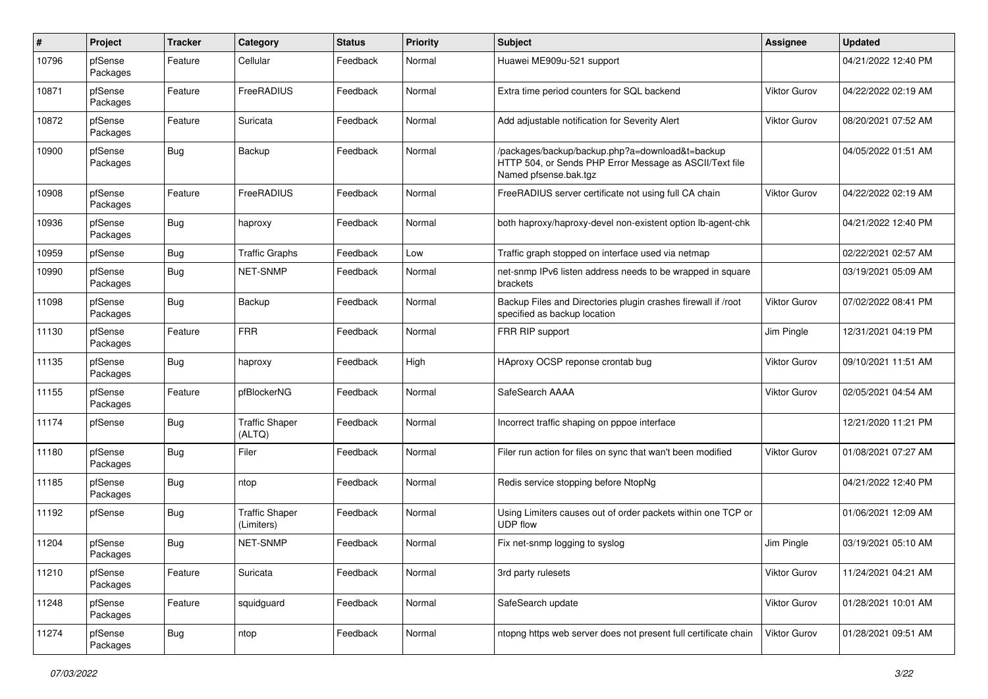| #     | Project             | <b>Tracker</b> | Category                            | <b>Status</b> | <b>Priority</b> | Subject                                                                                                                             | <b>Assignee</b>     | <b>Updated</b>      |
|-------|---------------------|----------------|-------------------------------------|---------------|-----------------|-------------------------------------------------------------------------------------------------------------------------------------|---------------------|---------------------|
| 10796 | pfSense<br>Packages | Feature        | Cellular                            | Feedback      | Normal          | Huawei ME909u-521 support                                                                                                           |                     | 04/21/2022 12:40 PM |
| 10871 | pfSense<br>Packages | Feature        | FreeRADIUS                          | Feedback      | Normal          | Extra time period counters for SQL backend                                                                                          | Viktor Gurov        | 04/22/2022 02:19 AM |
| 10872 | pfSense<br>Packages | Feature        | Suricata                            | Feedback      | Normal          | Add adjustable notification for Severity Alert                                                                                      | Viktor Gurov        | 08/20/2021 07:52 AM |
| 10900 | pfSense<br>Packages | Bug            | Backup                              | Feedback      | Normal          | /packages/backup/backup.php?a=download&t=backup<br>HTTP 504, or Sends PHP Error Message as ASCII/Text file<br>Named pfsense.bak.tgz |                     | 04/05/2022 01:51 AM |
| 10908 | pfSense<br>Packages | Feature        | FreeRADIUS                          | Feedback      | Normal          | FreeRADIUS server certificate not using full CA chain                                                                               | Viktor Gurov        | 04/22/2022 02:19 AM |
| 10936 | pfSense<br>Packages | Bug            | haproxy                             | Feedback      | Normal          | both haproxy/haproxy-devel non-existent option lb-agent-chk                                                                         |                     | 04/21/2022 12:40 PM |
| 10959 | pfSense             | Bug            | <b>Traffic Graphs</b>               | Feedback      | Low             | Traffic graph stopped on interface used via netmap                                                                                  |                     | 02/22/2021 02:57 AM |
| 10990 | pfSense<br>Packages | <b>Bug</b>     | NET-SNMP                            | Feedback      | Normal          | net-snmp IPv6 listen address needs to be wrapped in square<br>brackets                                                              |                     | 03/19/2021 05:09 AM |
| 11098 | pfSense<br>Packages | Bug            | Backup                              | Feedback      | Normal          | Backup Files and Directories plugin crashes firewall if /root<br>specified as backup location                                       | Viktor Gurov        | 07/02/2022 08:41 PM |
| 11130 | pfSense<br>Packages | Feature        | <b>FRR</b>                          | Feedback      | Normal          | FRR RIP support                                                                                                                     | Jim Pingle          | 12/31/2021 04:19 PM |
| 11135 | pfSense<br>Packages | Bug            | haproxy                             | Feedback      | High            | HAproxy OCSP reponse crontab bug                                                                                                    | <b>Viktor Gurov</b> | 09/10/2021 11:51 AM |
| 11155 | pfSense<br>Packages | Feature        | pfBlockerNG                         | Feedback      | Normal          | SafeSearch AAAA                                                                                                                     | Viktor Gurov        | 02/05/2021 04:54 AM |
| 11174 | pfSense             | Bug            | <b>Traffic Shaper</b><br>(ALTQ)     | Feedback      | Normal          | Incorrect traffic shaping on pppoe interface                                                                                        |                     | 12/21/2020 11:21 PM |
| 11180 | pfSense<br>Packages | Bug            | Filer                               | Feedback      | Normal          | Filer run action for files on sync that wan't been modified                                                                         | Viktor Gurov        | 01/08/2021 07:27 AM |
| 11185 | pfSense<br>Packages | Bug            | ntop                                | Feedback      | Normal          | Redis service stopping before NtopNg                                                                                                |                     | 04/21/2022 12:40 PM |
| 11192 | pfSense             | <b>Bug</b>     | <b>Traffic Shaper</b><br>(Limiters) | Feedback      | Normal          | Using Limiters causes out of order packets within one TCP or<br><b>UDP flow</b>                                                     |                     | 01/06/2021 12:09 AM |
| 11204 | pfSense<br>Packages | <b>Bug</b>     | NET-SNMP                            | Feedback      | Normal          | Fix net-snmp logging to syslog                                                                                                      | Jim Pingle          | 03/19/2021 05:10 AM |
| 11210 | pfSense<br>Packages | Feature        | Suricata                            | Feedback      | Normal          | 3rd party rulesets                                                                                                                  | Viktor Gurov        | 11/24/2021 04:21 AM |
| 11248 | pfSense<br>Packages | Feature        | squidguard                          | Feedback      | Normal          | SafeSearch update                                                                                                                   | Viktor Gurov        | 01/28/2021 10:01 AM |
| 11274 | pfSense<br>Packages | <b>Bug</b>     | ntop                                | Feedback      | Normal          | ntopng https web server does not present full certificate chain                                                                     | Viktor Gurov        | 01/28/2021 09:51 AM |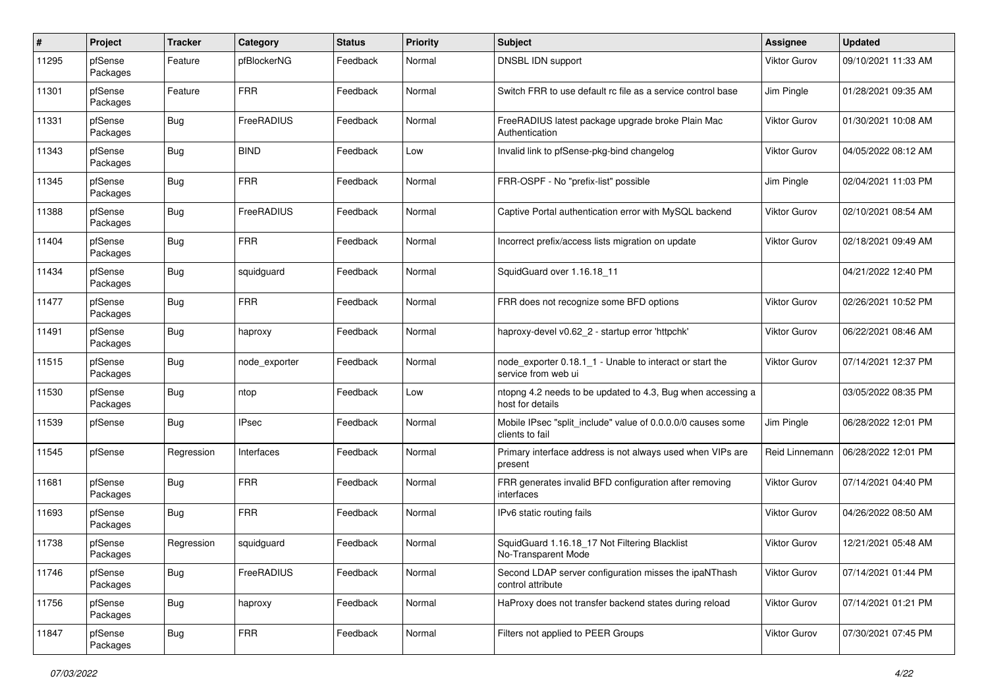| #     | Project             | <b>Tracker</b> | Category      | <b>Status</b> | <b>Priority</b> | <b>Subject</b>                                                                  | <b>Assignee</b>     | <b>Updated</b>      |
|-------|---------------------|----------------|---------------|---------------|-----------------|---------------------------------------------------------------------------------|---------------------|---------------------|
| 11295 | pfSense<br>Packages | Feature        | pfBlockerNG   | Feedback      | Normal          | DNSBL IDN support                                                               | Viktor Gurov        | 09/10/2021 11:33 AM |
| 11301 | pfSense<br>Packages | Feature        | <b>FRR</b>    | Feedback      | Normal          | Switch FRR to use default rc file as a service control base                     | Jim Pingle          | 01/28/2021 09:35 AM |
| 11331 | pfSense<br>Packages | Bug            | FreeRADIUS    | Feedback      | Normal          | FreeRADIUS latest package upgrade broke Plain Mac<br>Authentication             | Viktor Gurov        | 01/30/2021 10:08 AM |
| 11343 | pfSense<br>Packages | Bug            | <b>BIND</b>   | Feedback      | Low             | Invalid link to pfSense-pkg-bind changelog                                      | Viktor Gurov        | 04/05/2022 08:12 AM |
| 11345 | pfSense<br>Packages | Bug            | <b>FRR</b>    | Feedback      | Normal          | FRR-OSPF - No "prefix-list" possible                                            | Jim Pingle          | 02/04/2021 11:03 PM |
| 11388 | pfSense<br>Packages | Bug            | FreeRADIUS    | Feedback      | Normal          | Captive Portal authentication error with MySQL backend                          | <b>Viktor Gurov</b> | 02/10/2021 08:54 AM |
| 11404 | pfSense<br>Packages | Bug            | <b>FRR</b>    | Feedback      | Normal          | Incorrect prefix/access lists migration on update                               | Viktor Gurov        | 02/18/2021 09:49 AM |
| 11434 | pfSense<br>Packages | Bug            | squidguard    | Feedback      | Normal          | SquidGuard over 1.16.18 11                                                      |                     | 04/21/2022 12:40 PM |
| 11477 | pfSense<br>Packages | Bug            | <b>FRR</b>    | Feedback      | Normal          | FRR does not recognize some BFD options                                         | Viktor Gurov        | 02/26/2021 10:52 PM |
| 11491 | pfSense<br>Packages | Bug            | haproxy       | Feedback      | Normal          | haproxy-devel v0.62_2 - startup error 'httpchk'                                 | Viktor Gurov        | 06/22/2021 08:46 AM |
| 11515 | pfSense<br>Packages | Bug            | node_exporter | Feedback      | Normal          | node exporter 0.18.1 1 - Unable to interact or start the<br>service from web ui | Viktor Gurov        | 07/14/2021 12:37 PM |
| 11530 | pfSense<br>Packages | Bug            | ntop          | Feedback      | Low             | ntopng 4.2 needs to be updated to 4.3, Bug when accessing a<br>host for details |                     | 03/05/2022 08:35 PM |
| 11539 | pfSense             | Bug            | <b>IPsec</b>  | Feedback      | Normal          | Mobile IPsec "split_include" value of 0.0.0.0/0 causes some<br>clients to fail  | Jim Pingle          | 06/28/2022 12:01 PM |
| 11545 | pfSense             | Regression     | Interfaces    | Feedback      | Normal          | Primary interface address is not always used when VIPs are<br>present           | Reid Linnemann      | 06/28/2022 12:01 PM |
| 11681 | pfSense<br>Packages | Bug            | <b>FRR</b>    | Feedback      | Normal          | FRR generates invalid BFD configuration after removing<br>interfaces            | <b>Viktor Gurov</b> | 07/14/2021 04:40 PM |
| 11693 | pfSense<br>Packages | Bug            | <b>FRR</b>    | Feedback      | Normal          | IPv6 static routing fails                                                       | <b>Viktor Gurov</b> | 04/26/2022 08:50 AM |
| 11738 | pfSense<br>Packages | Regression     | squidquard    | Feedback      | Normal          | SquidGuard 1.16.18_17 Not Filtering Blacklist<br>No-Transparent Mode            | Viktor Gurov        | 12/21/2021 05:48 AM |
| 11746 | pfSense<br>Packages | <b>Bug</b>     | FreeRADIUS    | Feedback      | Normal          | Second LDAP server configuration misses the ipaNThash<br>control attribute      | <b>Viktor Gurov</b> | 07/14/2021 01:44 PM |
| 11756 | pfSense<br>Packages | <b>Bug</b>     | haproxy       | Feedback      | Normal          | HaProxy does not transfer backend states during reload                          | Viktor Gurov        | 07/14/2021 01:21 PM |
| 11847 | pfSense<br>Packages | <b>Bug</b>     | <b>FRR</b>    | Feedback      | Normal          | Filters not applied to PEER Groups                                              | <b>Viktor Gurov</b> | 07/30/2021 07:45 PM |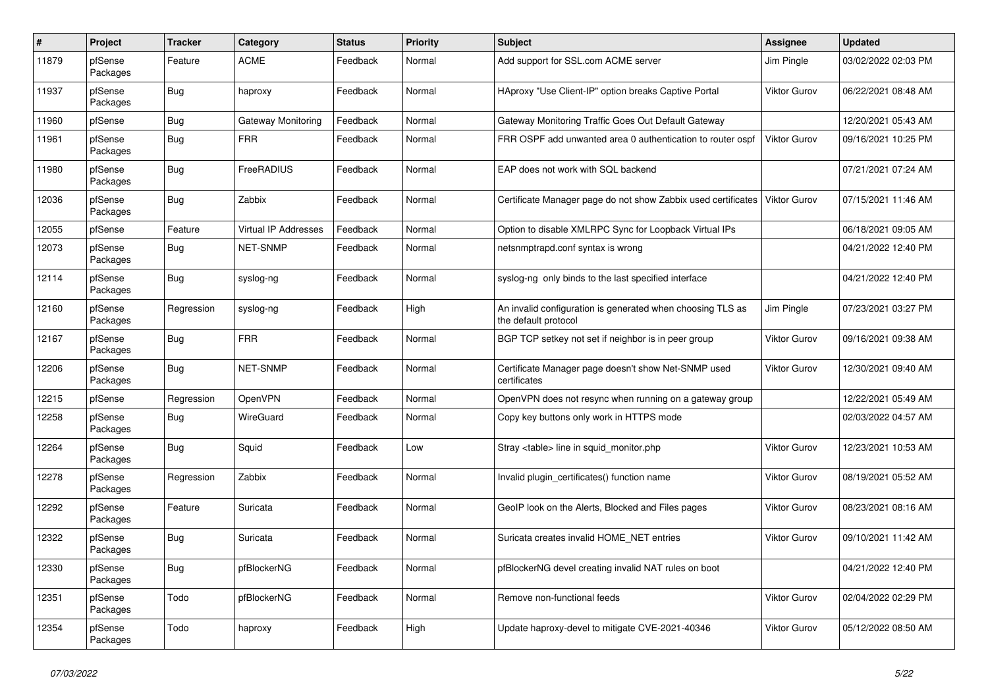| $\vert$ # | Project             | <b>Tracker</b> | Category             | <b>Status</b> | <b>Priority</b> | <b>Subject</b>                                                                     | Assignee            | <b>Updated</b>      |
|-----------|---------------------|----------------|----------------------|---------------|-----------------|------------------------------------------------------------------------------------|---------------------|---------------------|
| 11879     | pfSense<br>Packages | Feature        | <b>ACME</b>          | Feedback      | Normal          | Add support for SSL.com ACME server                                                | Jim Pingle          | 03/02/2022 02:03 PM |
| 11937     | pfSense<br>Packages | Bug            | haproxy              | Feedback      | Normal          | HAproxy "Use Client-IP" option breaks Captive Portal                               | Viktor Gurov        | 06/22/2021 08:48 AM |
| 11960     | pfSense             | Bug            | Gateway Monitoring   | Feedback      | Normal          | Gateway Monitoring Traffic Goes Out Default Gateway                                |                     | 12/20/2021 05:43 AM |
| 11961     | pfSense<br>Packages | Bug            | <b>FRR</b>           | Feedback      | Normal          | FRR OSPF add unwanted area 0 authentication to router ospf                         | <b>Viktor Gurov</b> | 09/16/2021 10:25 PM |
| 11980     | pfSense<br>Packages | Bug            | FreeRADIUS           | Feedback      | Normal          | EAP does not work with SQL backend                                                 |                     | 07/21/2021 07:24 AM |
| 12036     | pfSense<br>Packages | <b>Bug</b>     | Zabbix               | Feedback      | Normal          | Certificate Manager page do not show Zabbix used certificates                      | Viktor Gurov        | 07/15/2021 11:46 AM |
| 12055     | pfSense             | Feature        | Virtual IP Addresses | Feedback      | Normal          | Option to disable XMLRPC Sync for Loopback Virtual IPs                             |                     | 06/18/2021 09:05 AM |
| 12073     | pfSense<br>Packages | Bug            | <b>NET-SNMP</b>      | Feedback      | Normal          | netsnmptrapd.conf syntax is wrong                                                  |                     | 04/21/2022 12:40 PM |
| 12114     | pfSense<br>Packages | <b>Bug</b>     | syslog-ng            | Feedback      | Normal          | syslog-ng only binds to the last specified interface                               |                     | 04/21/2022 12:40 PM |
| 12160     | pfSense<br>Packages | Regression     | syslog-ng            | Feedback      | High            | An invalid configuration is generated when choosing TLS as<br>the default protocol | Jim Pingle          | 07/23/2021 03:27 PM |
| 12167     | pfSense<br>Packages | Bug            | <b>FRR</b>           | Feedback      | Normal          | BGP TCP setkey not set if neighbor is in peer group                                | Viktor Gurov        | 09/16/2021 09:38 AM |
| 12206     | pfSense<br>Packages | Bug            | <b>NET-SNMP</b>      | Feedback      | Normal          | Certificate Manager page doesn't show Net-SNMP used<br>certificates                | Viktor Gurov        | 12/30/2021 09:40 AM |
| 12215     | pfSense             | Regression     | OpenVPN              | Feedback      | Normal          | OpenVPN does not resync when running on a gateway group                            |                     | 12/22/2021 05:49 AM |
| 12258     | pfSense<br>Packages | Bug            | WireGuard            | Feedback      | Normal          | Copy key buttons only work in HTTPS mode                                           |                     | 02/03/2022 04:57 AM |
| 12264     | pfSense<br>Packages | Bug            | Squid                | Feedback      | Low             | Stray <table> line in squid_monitor.php</table>                                    | Viktor Gurov        | 12/23/2021 10:53 AM |
| 12278     | pfSense<br>Packages | Regression     | Zabbix               | Feedback      | Normal          | Invalid plugin_certificates() function name                                        | Viktor Gurov        | 08/19/2021 05:52 AM |
| 12292     | pfSense<br>Packages | Feature        | Suricata             | Feedback      | Normal          | GeoIP look on the Alerts, Blocked and Files pages                                  | Viktor Gurov        | 08/23/2021 08:16 AM |
| 12322     | pfSense<br>Packages | <b>Bug</b>     | Suricata             | Feedback      | Normal          | Suricata creates invalid HOME_NET entries                                          | <b>Viktor Gurov</b> | 09/10/2021 11:42 AM |
| 12330     | pfSense<br>Packages | Bug            | pfBlockerNG          | Feedback      | Normal          | pfBlockerNG devel creating invalid NAT rules on boot                               |                     | 04/21/2022 12:40 PM |
| 12351     | pfSense<br>Packages | Todo           | pfBlockerNG          | Feedback      | Normal          | Remove non-functional feeds                                                        | Viktor Gurov        | 02/04/2022 02:29 PM |
| 12354     | pfSense<br>Packages | Todo           | haproxy              | Feedback      | High            | Update haproxy-devel to mitigate CVE-2021-40346                                    | Viktor Gurov        | 05/12/2022 08:50 AM |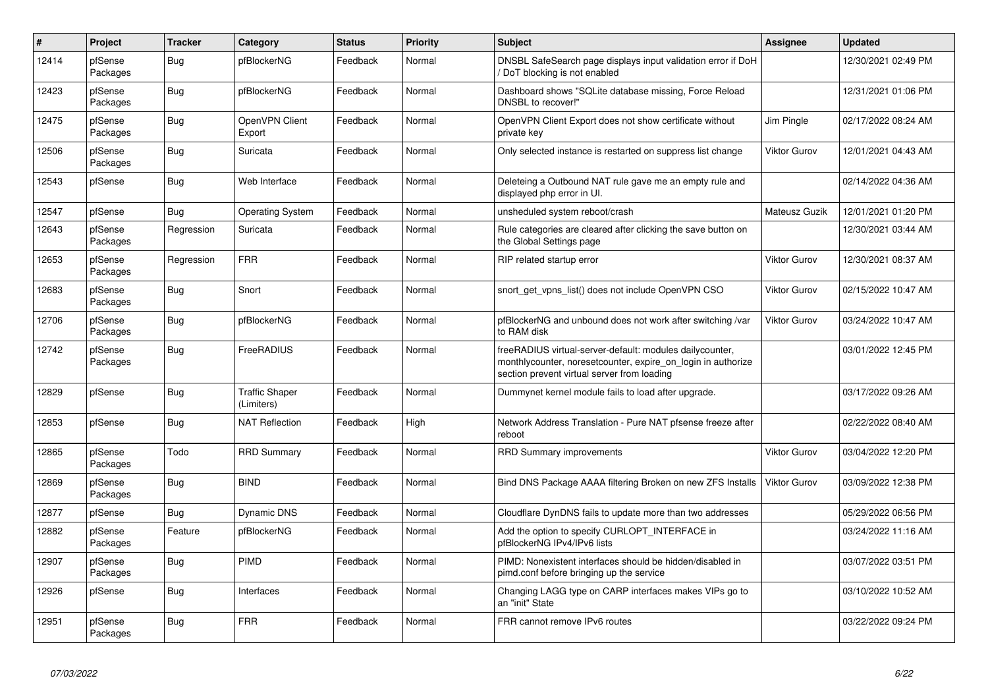| $\sharp$ | Project             | <b>Tracker</b> | Category                            | <b>Status</b> | Priority | <b>Subject</b>                                                                                                                                                          | Assignee            | <b>Updated</b>      |
|----------|---------------------|----------------|-------------------------------------|---------------|----------|-------------------------------------------------------------------------------------------------------------------------------------------------------------------------|---------------------|---------------------|
| 12414    | pfSense<br>Packages | Bug            | pfBlockerNG                         | Feedback      | Normal   | DNSBL SafeSearch page displays input validation error if DoH<br>DoT blocking is not enabled                                                                             |                     | 12/30/2021 02:49 PM |
| 12423    | pfSense<br>Packages | Bug            | pfBlockerNG                         | Feedback      | Normal   | Dashboard shows "SQLite database missing, Force Reload<br>DNSBL to recover!"                                                                                            |                     | 12/31/2021 01:06 PM |
| 12475    | pfSense<br>Packages | <b>Bug</b>     | OpenVPN Client<br>Export            | Feedback      | Normal   | OpenVPN Client Export does not show certificate without<br>private key                                                                                                  | Jim Pingle          | 02/17/2022 08:24 AM |
| 12506    | pfSense<br>Packages | Bug            | Suricata                            | Feedback      | Normal   | Only selected instance is restarted on suppress list change                                                                                                             | Viktor Gurov        | 12/01/2021 04:43 AM |
| 12543    | pfSense             | Bug            | Web Interface                       | Feedback      | Normal   | Deleteing a Outbound NAT rule gave me an empty rule and<br>displayed php error in UI.                                                                                   |                     | 02/14/2022 04:36 AM |
| 12547    | pfSense             | Bug            | Operating System                    | Feedback      | Normal   | unsheduled system reboot/crash                                                                                                                                          | Mateusz Guzik       | 12/01/2021 01:20 PM |
| 12643    | pfSense<br>Packages | Regression     | Suricata                            | Feedback      | Normal   | Rule categories are cleared after clicking the save button on<br>the Global Settings page                                                                               |                     | 12/30/2021 03:44 AM |
| 12653    | pfSense<br>Packages | Regression     | <b>FRR</b>                          | Feedback      | Normal   | RIP related startup error                                                                                                                                               | Viktor Gurov        | 12/30/2021 08:37 AM |
| 12683    | pfSense<br>Packages | Bug            | Snort                               | Feedback      | Normal   | snort_get_vpns_list() does not include OpenVPN CSO                                                                                                                      | Viktor Gurov        | 02/15/2022 10:47 AM |
| 12706    | pfSense<br>Packages | Bug            | pfBlockerNG                         | Feedback      | Normal   | pfBlockerNG and unbound does not work after switching /var<br>to RAM disk                                                                                               | Viktor Gurov        | 03/24/2022 10:47 AM |
| 12742    | pfSense<br>Packages | Bug            | FreeRADIUS                          | Feedback      | Normal   | freeRADIUS virtual-server-default: modules dailycounter,<br>monthlycounter, noresetcounter, expire on login in authorize<br>section prevent virtual server from loading |                     | 03/01/2022 12:45 PM |
| 12829    | pfSense             | Bug            | <b>Traffic Shaper</b><br>(Limiters) | Feedback      | Normal   | Dummynet kernel module fails to load after upgrade.                                                                                                                     |                     | 03/17/2022 09:26 AM |
| 12853    | pfSense             | Bug            | <b>NAT Reflection</b>               | Feedback      | High     | Network Address Translation - Pure NAT pfsense freeze after<br>reboot                                                                                                   |                     | 02/22/2022 08:40 AM |
| 12865    | pfSense<br>Packages | Todo           | <b>RRD Summary</b>                  | Feedback      | Normal   | <b>RRD Summary improvements</b>                                                                                                                                         | <b>Viktor Gurov</b> | 03/04/2022 12:20 PM |
| 12869    | pfSense<br>Packages | Bug            | <b>BIND</b>                         | Feedback      | Normal   | Bind DNS Package AAAA filtering Broken on new ZFS Installs                                                                                                              | Viktor Gurov        | 03/09/2022 12:38 PM |
| 12877    | pfSense             | Bug            | Dynamic DNS                         | Feedback      | Normal   | Cloudflare DynDNS fails to update more than two addresses                                                                                                               |                     | 05/29/2022 06:56 PM |
| 12882    | pfSense<br>Packages | Feature        | pfBlockerNG                         | Feedback      | Normal   | Add the option to specify CURLOPT INTERFACE in<br>pfBlockerNG IPv4/IPv6 lists                                                                                           |                     | 03/24/2022 11:16 AM |
| 12907    | pfSense<br>Packages | <b>Bug</b>     | PIMD                                | Feedback      | Normal   | PIMD: Nonexistent interfaces should be hidden/disabled in<br>pimd.conf before bringing up the service                                                                   |                     | 03/07/2022 03:51 PM |
| 12926    | pfSense             | Bug            | Interfaces                          | Feedback      | Normal   | Changing LAGG type on CARP interfaces makes VIPs go to<br>an "init" State                                                                                               |                     | 03/10/2022 10:52 AM |
| 12951    | pfSense<br>Packages | Bug            | <b>FRR</b>                          | Feedback      | Normal   | FRR cannot remove IPv6 routes                                                                                                                                           |                     | 03/22/2022 09:24 PM |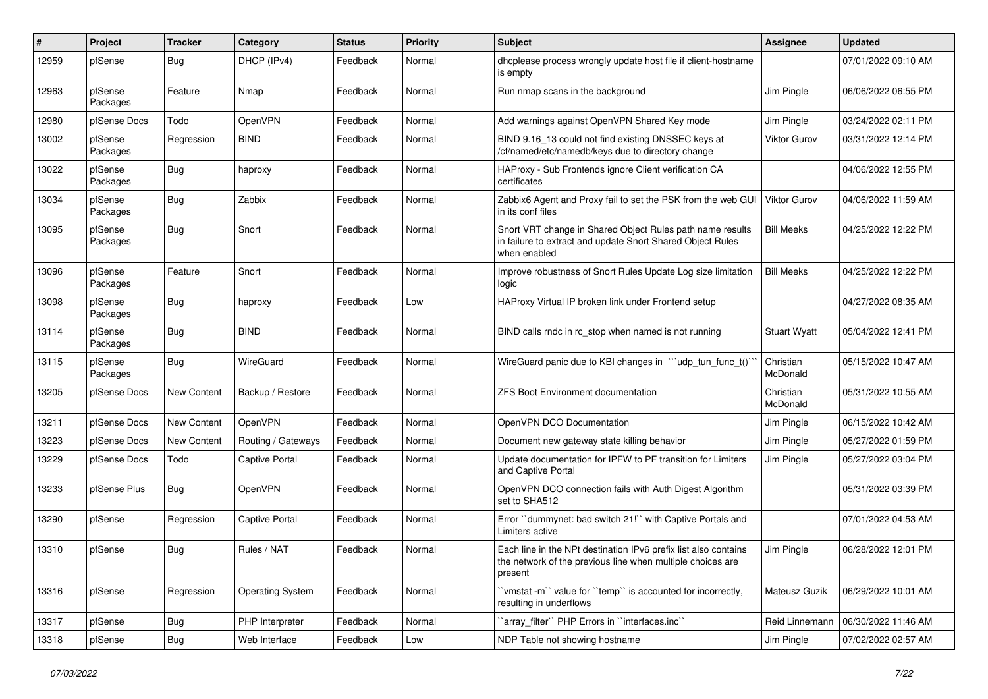| ∦     | Project             | <b>Tracker</b> | Category                | <b>Status</b> | <b>Priority</b> | <b>Subject</b>                                                                                                                           | Assignee              | <b>Updated</b>      |
|-------|---------------------|----------------|-------------------------|---------------|-----------------|------------------------------------------------------------------------------------------------------------------------------------------|-----------------------|---------------------|
| 12959 | pfSense             | Bug            | DHCP (IPv4)             | Feedback      | Normal          | dhcplease process wrongly update host file if client-hostname<br>is empty                                                                |                       | 07/01/2022 09:10 AM |
| 12963 | pfSense<br>Packages | Feature        | Nmap                    | Feedback      | Normal          | Run nmap scans in the background                                                                                                         | Jim Pingle            | 06/06/2022 06:55 PM |
| 12980 | pfSense Docs        | Todo           | OpenVPN                 | Feedback      | Normal          | Add warnings against OpenVPN Shared Key mode                                                                                             | Jim Pingle            | 03/24/2022 02:11 PM |
| 13002 | pfSense<br>Packages | Regression     | <b>BIND</b>             | Feedback      | Normal          | BIND 9.16_13 could not find existing DNSSEC keys at<br>/cf/named/etc/namedb/keys due to directory change                                 | <b>Viktor Gurov</b>   | 03/31/2022 12:14 PM |
| 13022 | pfSense<br>Packages | <b>Bug</b>     | haproxy                 | Feedback      | Normal          | HAProxy - Sub Frontends ignore Client verification CA<br>certificates                                                                    |                       | 04/06/2022 12:55 PM |
| 13034 | pfSense<br>Packages | Bug            | Zabbix                  | Feedback      | Normal          | Zabbix6 Agent and Proxy fail to set the PSK from the web GUI<br>in its conf files                                                        | Viktor Gurov          | 04/06/2022 11:59 AM |
| 13095 | pfSense<br>Packages | <b>Bug</b>     | Snort                   | Feedback      | Normal          | Snort VRT change in Shared Object Rules path name results<br>in failure to extract and update Snort Shared Object Rules<br>when enabled  | <b>Bill Meeks</b>     | 04/25/2022 12:22 PM |
| 13096 | pfSense<br>Packages | Feature        | Snort                   | Feedback      | Normal          | Improve robustness of Snort Rules Update Log size limitation<br>logic                                                                    | <b>Bill Meeks</b>     | 04/25/2022 12:22 PM |
| 13098 | pfSense<br>Packages | Bug            | haproxy                 | Feedback      | Low             | HAProxy Virtual IP broken link under Frontend setup                                                                                      |                       | 04/27/2022 08:35 AM |
| 13114 | pfSense<br>Packages | <b>Bug</b>     | <b>BIND</b>             | Feedback      | Normal          | BIND calls rndc in rc stop when named is not running                                                                                     | <b>Stuart Wyatt</b>   | 05/04/2022 12:41 PM |
| 13115 | pfSense<br>Packages | <b>Bug</b>     | WireGuard               | Feedback      | Normal          | WireGuard panic due to KBI changes in ```udp_tun_func_t()`                                                                               | Christian<br>McDonald | 05/15/2022 10:47 AM |
| 13205 | pfSense Docs        | New Content    | Backup / Restore        | Feedback      | Normal          | ZFS Boot Environment documentation                                                                                                       | Christian<br>McDonald | 05/31/2022 10:55 AM |
| 13211 | pfSense Docs        | New Content    | OpenVPN                 | Feedback      | Normal          | OpenVPN DCO Documentation                                                                                                                | Jim Pingle            | 06/15/2022 10:42 AM |
| 13223 | pfSense Docs        | New Content    | Routing / Gateways      | Feedback      | Normal          | Document new gateway state killing behavior                                                                                              | Jim Pingle            | 05/27/2022 01:59 PM |
| 13229 | pfSense Docs        | Todo           | <b>Captive Portal</b>   | Feedback      | Normal          | Update documentation for IPFW to PF transition for Limiters<br>and Captive Portal                                                        | Jim Pingle            | 05/27/2022 03:04 PM |
| 13233 | pfSense Plus        | Bug            | OpenVPN                 | Feedback      | Normal          | OpenVPN DCO connection fails with Auth Digest Algorithm<br>set to SHA512                                                                 |                       | 05/31/2022 03:39 PM |
| 13290 | pfSense             | Regression     | <b>Captive Portal</b>   | Feedback      | Normal          | Error "dummynet: bad switch 21!" with Captive Portals and<br>Limiters active                                                             |                       | 07/01/2022 04:53 AM |
| 13310 | pfSense             | Bug            | Rules / NAT             | Feedback      | Normal          | Each line in the NPt destination IPv6 prefix list also contains<br>the network of the previous line when multiple choices are<br>present | Jim Pingle            | 06/28/2022 12:01 PM |
| 13316 | pfSense             | Regression     | <b>Operating System</b> | Feedback      | Normal          | 'vmstat -m'' value for "temp" is accounted for incorrectly,<br>resulting in underflows                                                   | Mateusz Guzik         | 06/29/2022 10:01 AM |
| 13317 | pfSense             | <b>Bug</b>     | PHP Interpreter         | Feedback      | Normal          | 'array filter'' PHP Errors in "interfaces.inc"                                                                                           | Reid Linnemann        | 06/30/2022 11:46 AM |
| 13318 | pfSense             | <b>Bug</b>     | Web Interface           | Feedback      | Low             | NDP Table not showing hostname                                                                                                           | Jim Pingle            | 07/02/2022 02:57 AM |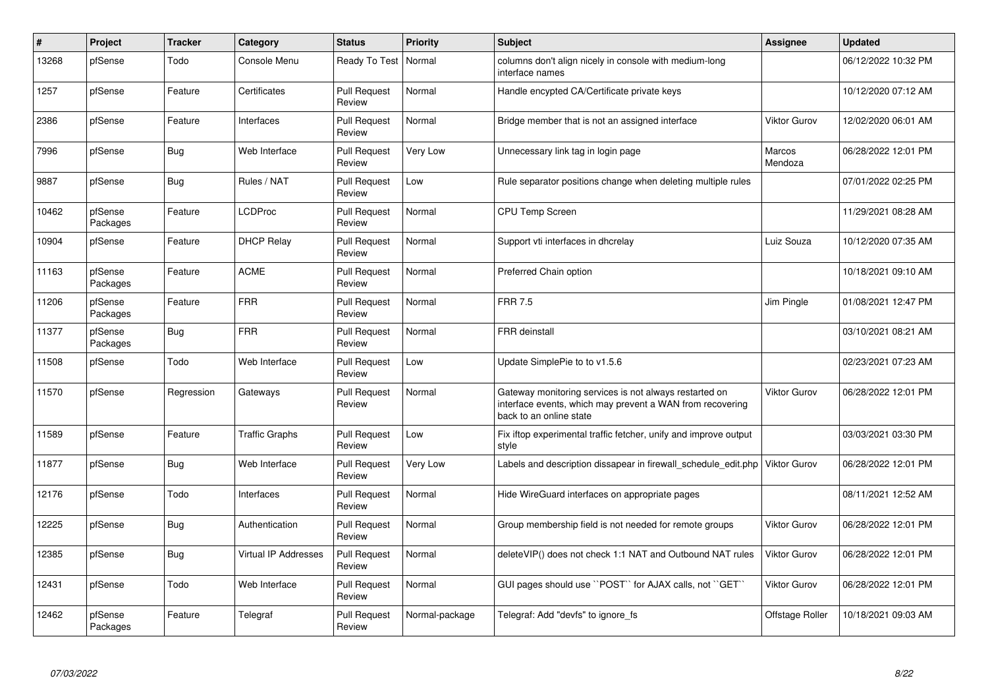| #     | Project             | <b>Tracker</b> | Category                    | <b>Status</b>                 | <b>Priority</b> | <b>Subject</b>                                                                                                                                 | Assignee          | <b>Updated</b>      |
|-------|---------------------|----------------|-----------------------------|-------------------------------|-----------------|------------------------------------------------------------------------------------------------------------------------------------------------|-------------------|---------------------|
| 13268 | pfSense             | Todo           | Console Menu                | Ready To Test   Normal        |                 | columns don't align nicely in console with medium-long<br>interface names                                                                      |                   | 06/12/2022 10:32 PM |
| 1257  | pfSense             | Feature        | Certificates                | <b>Pull Request</b><br>Review | Normal          | Handle encypted CA/Certificate private keys                                                                                                    |                   | 10/12/2020 07:12 AM |
| 2386  | pfSense             | Feature        | Interfaces                  | <b>Pull Request</b><br>Review | Normal          | Bridge member that is not an assigned interface                                                                                                | Viktor Gurov      | 12/02/2020 06:01 AM |
| 7996  | pfSense             | Bug            | Web Interface               | <b>Pull Request</b><br>Review | Very Low        | Unnecessary link tag in login page                                                                                                             | Marcos<br>Mendoza | 06/28/2022 12:01 PM |
| 9887  | pfSense             | <b>Bug</b>     | Rules / NAT                 | <b>Pull Request</b><br>Review | Low             | Rule separator positions change when deleting multiple rules                                                                                   |                   | 07/01/2022 02:25 PM |
| 10462 | pfSense<br>Packages | Feature        | <b>LCDProc</b>              | <b>Pull Request</b><br>Review | Normal          | <b>CPU Temp Screen</b>                                                                                                                         |                   | 11/29/2021 08:28 AM |
| 10904 | pfSense             | Feature        | <b>DHCP Relay</b>           | <b>Pull Request</b><br>Review | Normal          | Support vti interfaces in dhcrelay                                                                                                             | Luiz Souza        | 10/12/2020 07:35 AM |
| 11163 | pfSense<br>Packages | Feature        | <b>ACME</b>                 | <b>Pull Request</b><br>Review | Normal          | Preferred Chain option                                                                                                                         |                   | 10/18/2021 09:10 AM |
| 11206 | pfSense<br>Packages | Feature        | <b>FRR</b>                  | <b>Pull Request</b><br>Review | Normal          | <b>FRR 7.5</b>                                                                                                                                 | Jim Pingle        | 01/08/2021 12:47 PM |
| 11377 | pfSense<br>Packages | <b>Bug</b>     | <b>FRR</b>                  | <b>Pull Request</b><br>Review | Normal          | <b>FRR</b> deinstall                                                                                                                           |                   | 03/10/2021 08:21 AM |
| 11508 | pfSense             | Todo           | Web Interface               | <b>Pull Request</b><br>Review | Low             | Update SimplePie to to v1.5.6                                                                                                                  |                   | 02/23/2021 07:23 AM |
| 11570 | pfSense             | Regression     | Gateways                    | <b>Pull Request</b><br>Review | Normal          | Gateway monitoring services is not always restarted on<br>interface events, which may prevent a WAN from recovering<br>back to an online state | Viktor Gurov      | 06/28/2022 12:01 PM |
| 11589 | pfSense             | Feature        | <b>Traffic Graphs</b>       | <b>Pull Request</b><br>Review | Low             | Fix iftop experimental traffic fetcher, unify and improve output<br>style                                                                      |                   | 03/03/2021 03:30 PM |
| 11877 | pfSense             | Bug            | Web Interface               | <b>Pull Request</b><br>Review | Very Low        | Labels and description dissapear in firewall schedule edit.php                                                                                 | Viktor Gurov      | 06/28/2022 12:01 PM |
| 12176 | pfSense             | Todo           | Interfaces                  | <b>Pull Request</b><br>Review | Normal          | Hide WireGuard interfaces on appropriate pages                                                                                                 |                   | 08/11/2021 12:52 AM |
| 12225 | pfSense             | Bug            | Authentication              | <b>Pull Request</b><br>Review | Normal          | Group membership field is not needed for remote groups                                                                                         | Viktor Gurov      | 06/28/2022 12:01 PM |
| 12385 | pfSense             | Bug            | <b>Virtual IP Addresses</b> | <b>Pull Request</b><br>Review | Normal          | deleteVIP() does not check 1:1 NAT and Outbound NAT rules                                                                                      | Viktor Gurov      | 06/28/2022 12:01 PM |
| 12431 | pfSense             | Todo           | Web Interface               | <b>Pull Request</b><br>Review | Normal          | GUI pages should use "POST" for AJAX calls, not "GET"                                                                                          | Viktor Gurov      | 06/28/2022 12:01 PM |
| 12462 | pfSense<br>Packages | Feature        | Telegraf                    | <b>Pull Request</b><br>Review | Normal-package  | Telegraf: Add "devfs" to ignore fs                                                                                                             | Offstage Roller   | 10/18/2021 09:03 AM |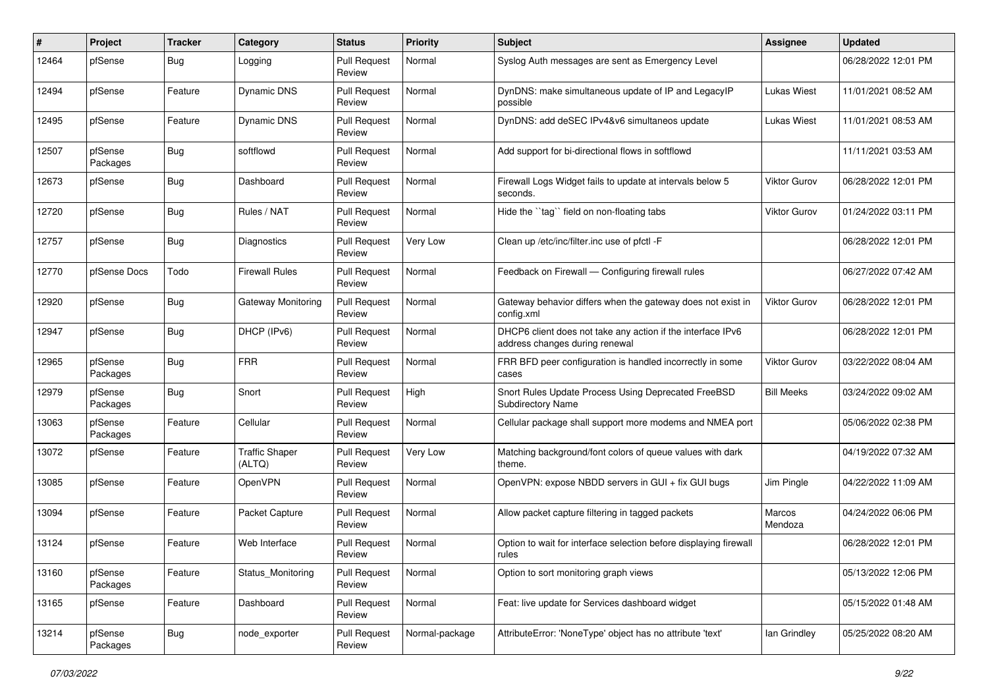| ∦     | Project             | <b>Tracker</b> | Category                        | <b>Status</b>                 | Priority       | <b>Subject</b>                                                                                | Assignee            | <b>Updated</b>      |
|-------|---------------------|----------------|---------------------------------|-------------------------------|----------------|-----------------------------------------------------------------------------------------------|---------------------|---------------------|
| 12464 | pfSense             | Bug            | Logging                         | <b>Pull Request</b><br>Review | Normal         | Syslog Auth messages are sent as Emergency Level                                              |                     | 06/28/2022 12:01 PM |
| 12494 | pfSense             | Feature        | Dynamic DNS                     | <b>Pull Request</b><br>Review | Normal         | DynDNS: make simultaneous update of IP and LegacyIP<br>possible                               | Lukas Wiest         | 11/01/2021 08:52 AM |
| 12495 | pfSense             | Feature        | Dynamic DNS                     | <b>Pull Request</b><br>Review | Normal         | DynDNS: add deSEC IPv4&v6 simultaneos update                                                  | Lukas Wiest         | 11/01/2021 08:53 AM |
| 12507 | pfSense<br>Packages | Bug            | softflowd                       | <b>Pull Request</b><br>Review | Normal         | Add support for bi-directional flows in softflowd                                             |                     | 11/11/2021 03:53 AM |
| 12673 | pfSense             | Bug            | Dashboard                       | <b>Pull Request</b><br>Review | Normal         | Firewall Logs Widget fails to update at intervals below 5<br>seconds.                         | <b>Viktor Gurov</b> | 06/28/2022 12:01 PM |
| 12720 | pfSense             | Bug            | Rules / NAT                     | <b>Pull Request</b><br>Review | Normal         | Hide the "tag" field on non-floating tabs                                                     | <b>Viktor Gurov</b> | 01/24/2022 03:11 PM |
| 12757 | pfSense             | Bug            | Diagnostics                     | <b>Pull Request</b><br>Review | Very Low       | Clean up /etc/inc/filter.inc use of pfctl -F                                                  |                     | 06/28/2022 12:01 PM |
| 12770 | pfSense Docs        | Todo           | <b>Firewall Rules</b>           | <b>Pull Request</b><br>Review | Normal         | Feedback on Firewall — Configuring firewall rules                                             |                     | 06/27/2022 07:42 AM |
| 12920 | pfSense             | Bug            | <b>Gateway Monitoring</b>       | <b>Pull Request</b><br>Review | Normal         | Gateway behavior differs when the gateway does not exist in<br>config.xml                     | <b>Viktor Gurov</b> | 06/28/2022 12:01 PM |
| 12947 | pfSense             | Bug            | DHCP (IPv6)                     | <b>Pull Request</b><br>Review | Normal         | DHCP6 client does not take any action if the interface IPv6<br>address changes during renewal |                     | 06/28/2022 12:01 PM |
| 12965 | pfSense<br>Packages | Bug            | <b>FRR</b>                      | <b>Pull Request</b><br>Review | Normal         | FRR BFD peer configuration is handled incorrectly in some<br>cases                            | Viktor Gurov        | 03/22/2022 08:04 AM |
| 12979 | pfSense<br>Packages | Bug            | Snort                           | <b>Pull Request</b><br>Review | High           | Snort Rules Update Process Using Deprecated FreeBSD<br><b>Subdirectory Name</b>               | <b>Bill Meeks</b>   | 03/24/2022 09:02 AM |
| 13063 | pfSense<br>Packages | Feature        | Cellular                        | <b>Pull Request</b><br>Review | Normal         | Cellular package shall support more modems and NMEA port                                      |                     | 05/06/2022 02:38 PM |
| 13072 | pfSense             | Feature        | <b>Traffic Shaper</b><br>(ALTQ) | <b>Pull Request</b><br>Review | Very Low       | Matching background/font colors of queue values with dark<br>theme.                           |                     | 04/19/2022 07:32 AM |
| 13085 | pfSense             | Feature        | OpenVPN                         | <b>Pull Request</b><br>Review | Normal         | OpenVPN: expose NBDD servers in GUI + fix GUI bugs                                            | Jim Pingle          | 04/22/2022 11:09 AM |
| 13094 | pfSense             | Feature        | Packet Capture                  | <b>Pull Request</b><br>Review | Normal         | Allow packet capture filtering in tagged packets                                              | Marcos<br>Mendoza   | 04/24/2022 06:06 PM |
| 13124 | pfSense             | Feature        | Web Interface                   | <b>Pull Request</b><br>Review | Normal         | Option to wait for interface selection before displaying firewall<br>rules                    |                     | 06/28/2022 12:01 PM |
| 13160 | pfSense<br>Packages | Feature        | Status_Monitoring               | Pull Request<br>Review        | Normal         | Option to sort monitoring graph views                                                         |                     | 05/13/2022 12:06 PM |
| 13165 | pfSense             | Feature        | Dashboard                       | <b>Pull Request</b><br>Review | Normal         | Feat: live update for Services dashboard widget                                               |                     | 05/15/2022 01:48 AM |
| 13214 | pfSense<br>Packages | <b>Bug</b>     | node_exporter                   | <b>Pull Request</b><br>Review | Normal-package | AttributeError: 'NoneType' object has no attribute 'text'                                     | lan Grindley        | 05/25/2022 08:20 AM |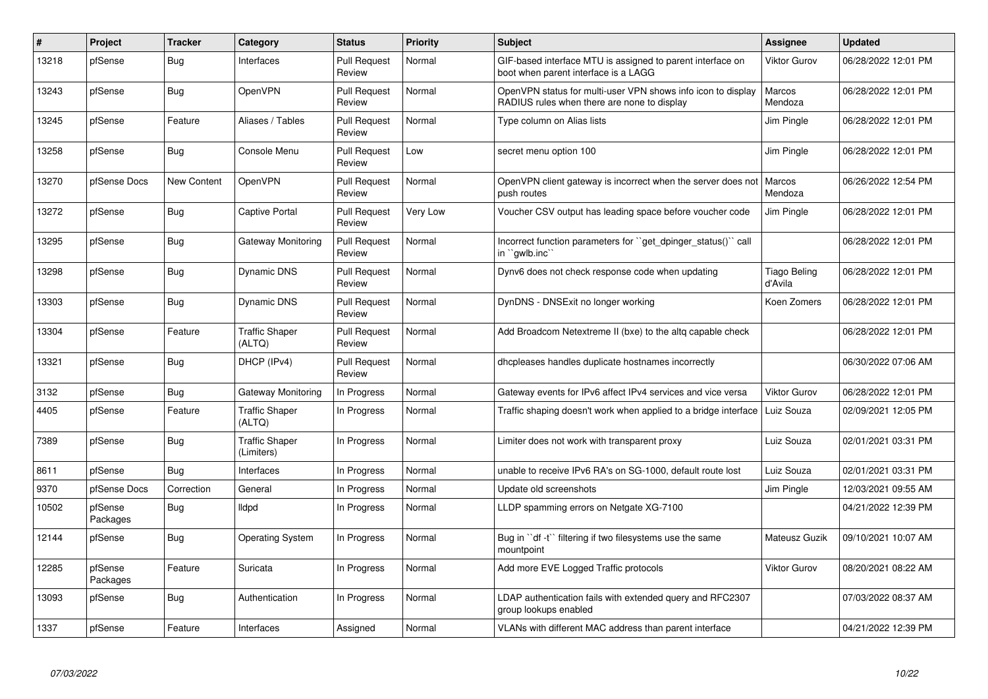| #     | Project             | <b>Tracker</b>     | Category                            | <b>Status</b>                 | <b>Priority</b> | <b>Subject</b>                                                                                              | Assignee                | <b>Updated</b>      |
|-------|---------------------|--------------------|-------------------------------------|-------------------------------|-----------------|-------------------------------------------------------------------------------------------------------------|-------------------------|---------------------|
| 13218 | pfSense             | <b>Bug</b>         | Interfaces                          | <b>Pull Request</b><br>Review | Normal          | GIF-based interface MTU is assigned to parent interface on<br>boot when parent interface is a LAGG          | <b>Viktor Gurov</b>     | 06/28/2022 12:01 PM |
| 13243 | pfSense             | Bug                | OpenVPN                             | <b>Pull Request</b><br>Review | Normal          | OpenVPN status for multi-user VPN shows info icon to display<br>RADIUS rules when there are none to display | Marcos<br>Mendoza       | 06/28/2022 12:01 PM |
| 13245 | pfSense             | Feature            | Aliases / Tables                    | <b>Pull Request</b><br>Review | Normal          | Type column on Alias lists                                                                                  | Jim Pingle              | 06/28/2022 12:01 PM |
| 13258 | pfSense             | Bug                | Console Menu                        | <b>Pull Request</b><br>Review | Low             | secret menu option 100                                                                                      | Jim Pingle              | 06/28/2022 12:01 PM |
| 13270 | pfSense Docs        | <b>New Content</b> | OpenVPN                             | <b>Pull Request</b><br>Review | Normal          | OpenVPN client gateway is incorrect when the server does not<br>push routes                                 | Marcos<br>Mendoza       | 06/26/2022 12:54 PM |
| 13272 | pfSense             | Bug                | <b>Captive Portal</b>               | <b>Pull Request</b><br>Review | Very Low        | Voucher CSV output has leading space before voucher code                                                    | Jim Pingle              | 06/28/2022 12:01 PM |
| 13295 | pfSense             | Bug                | Gateway Monitoring                  | <b>Pull Request</b><br>Review | Normal          | Incorrect function parameters for "get_dpinger_status()" call<br>in ``gwlb.inc``                            |                         | 06/28/2022 12:01 PM |
| 13298 | pfSense             | <b>Bug</b>         | <b>Dynamic DNS</b>                  | <b>Pull Request</b><br>Review | Normal          | Dynv6 does not check response code when updating                                                            | Tiago Beling<br>d'Avila | 06/28/2022 12:01 PM |
| 13303 | pfSense             | Bug                | <b>Dynamic DNS</b>                  | <b>Pull Request</b><br>Review | Normal          | DynDNS - DNSExit no longer working                                                                          | Koen Zomers             | 06/28/2022 12:01 PM |
| 13304 | pfSense             | Feature            | <b>Traffic Shaper</b><br>(ALTQ)     | <b>Pull Request</b><br>Review | Normal          | Add Broadcom Netextreme II (bxe) to the altg capable check                                                  |                         | 06/28/2022 12:01 PM |
| 13321 | pfSense             | Bug                | DHCP (IPv4)                         | <b>Pull Request</b><br>Review | Normal          | dhcpleases handles duplicate hostnames incorrectly                                                          |                         | 06/30/2022 07:06 AM |
| 3132  | pfSense             | Bug                | Gateway Monitoring                  | In Progress                   | Normal          | Gateway events for IPv6 affect IPv4 services and vice versa                                                 | <b>Viktor Gurov</b>     | 06/28/2022 12:01 PM |
| 4405  | pfSense             | Feature            | <b>Traffic Shaper</b><br>(ALTQ)     | In Progress                   | Normal          | Traffic shaping doesn't work when applied to a bridge interface                                             | Luiz Souza              | 02/09/2021 12:05 PM |
| 7389  | pfSense             | Bug                | <b>Traffic Shaper</b><br>(Limiters) | In Progress                   | Normal          | Limiter does not work with transparent proxy                                                                | Luiz Souza              | 02/01/2021 03:31 PM |
| 8611  | pfSense             | Bug                | Interfaces                          | In Progress                   | Normal          | unable to receive IPv6 RA's on SG-1000, default route lost                                                  | Luiz Souza              | 02/01/2021 03:31 PM |
| 9370  | pfSense Docs        | Correction         | General                             | In Progress                   | Normal          | Update old screenshots                                                                                      | Jim Pingle              | 12/03/2021 09:55 AM |
| 10502 | pfSense<br>Packages | Bug                | <b>Ildpd</b>                        | In Progress                   | Normal          | LLDP spamming errors on Netgate XG-7100                                                                     |                         | 04/21/2022 12:39 PM |
| 12144 | pfSense             | <b>Bug</b>         | <b>Operating System</b>             | In Progress                   | Normal          | Bug in "df -t" filtering if two filesystems use the same<br>mountpoint                                      | Mateusz Guzik           | 09/10/2021 10:07 AM |
| 12285 | pfSense<br>Packages | Feature            | Suricata                            | In Progress                   | Normal          | Add more EVE Logged Traffic protocols                                                                       | <b>Viktor Gurov</b>     | 08/20/2021 08:22 AM |
| 13093 | pfSense             | Bug                | Authentication                      | In Progress                   | Normal          | LDAP authentication fails with extended query and RFC2307<br>group lookups enabled                          |                         | 07/03/2022 08:37 AM |
| 1337  | pfSense             | Feature            | Interfaces                          | Assigned                      | Normal          | VLANs with different MAC address than parent interface                                                      |                         | 04/21/2022 12:39 PM |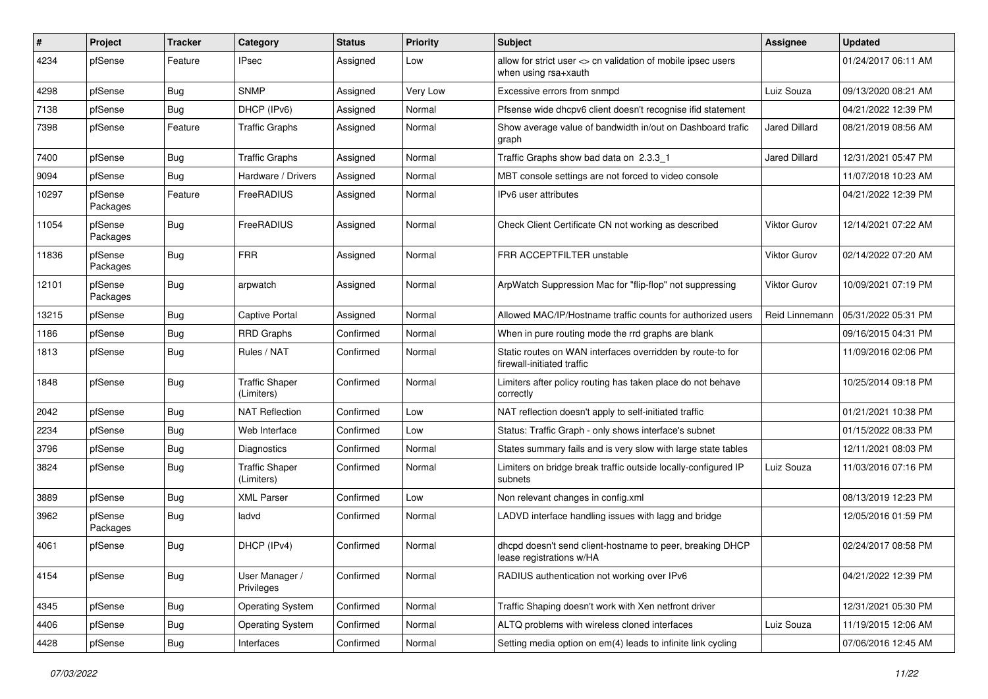| ∦     | Project             | <b>Tracker</b> | Category                            | <b>Status</b> | Priority | <b>Subject</b>                                                                           | Assignee             | <b>Updated</b>      |
|-------|---------------------|----------------|-------------------------------------|---------------|----------|------------------------------------------------------------------------------------------|----------------------|---------------------|
| 4234  | pfSense             | Feature        | IPsec                               | Assigned      | Low      | allow for strict user <> cn validation of mobile ipsec users<br>when using rsa+xauth     |                      | 01/24/2017 06:11 AM |
| 4298  | pfSense             | Bug            | <b>SNMP</b>                         | Assigned      | Very Low | Excessive errors from snmpd                                                              | Luiz Souza           | 09/13/2020 08:21 AM |
| 7138  | pfSense             | Bug            | DHCP (IPv6)                         | Assigned      | Normal   | Pfsense wide dhcpv6 client doesn't recognise ifid statement                              |                      | 04/21/2022 12:39 PM |
| 7398  | pfSense             | Feature        | <b>Traffic Graphs</b>               | Assigned      | Normal   | Show average value of bandwidth in/out on Dashboard trafic<br>graph                      | <b>Jared Dillard</b> | 08/21/2019 08:56 AM |
| 7400  | pfSense             | Bug            | <b>Traffic Graphs</b>               | Assigned      | Normal   | Traffic Graphs show bad data on 2.3.3 1                                                  | Jared Dillard        | 12/31/2021 05:47 PM |
| 9094  | pfSense             | Bug            | Hardware / Drivers                  | Assigned      | Normal   | MBT console settings are not forced to video console                                     |                      | 11/07/2018 10:23 AM |
| 10297 | pfSense<br>Packages | Feature        | FreeRADIUS                          | Assigned      | Normal   | IPv6 user attributes                                                                     |                      | 04/21/2022 12:39 PM |
| 11054 | pfSense<br>Packages | Bug            | FreeRADIUS                          | Assigned      | Normal   | Check Client Certificate CN not working as described                                     | Viktor Gurov         | 12/14/2021 07:22 AM |
| 11836 | pfSense<br>Packages | Bug            | <b>FRR</b>                          | Assigned      | Normal   | FRR ACCEPTFILTER unstable                                                                | <b>Viktor Gurov</b>  | 02/14/2022 07:20 AM |
| 12101 | pfSense<br>Packages | Bug            | arpwatch                            | Assigned      | Normal   | ArpWatch Suppression Mac for "flip-flop" not suppressing                                 | <b>Viktor Gurov</b>  | 10/09/2021 07:19 PM |
| 13215 | pfSense             | Bug            | Captive Portal                      | Assigned      | Normal   | Allowed MAC/IP/Hostname traffic counts for authorized users                              | Reid Linnemann       | 05/31/2022 05:31 PM |
| 1186  | pfSense             | <b>Bug</b>     | <b>RRD Graphs</b>                   | Confirmed     | Normal   | When in pure routing mode the rrd graphs are blank                                       |                      | 09/16/2015 04:31 PM |
| 1813  | pfSense             | Bug            | Rules / NAT                         | Confirmed     | Normal   | Static routes on WAN interfaces overridden by route-to for<br>firewall-initiated traffic |                      | 11/09/2016 02:06 PM |
| 1848  | pfSense             | <b>Bug</b>     | <b>Traffic Shaper</b><br>(Limiters) | Confirmed     | Normal   | Limiters after policy routing has taken place do not behave<br>correctly                 |                      | 10/25/2014 09:18 PM |
| 2042  | pfSense             | Bug            | <b>NAT Reflection</b>               | Confirmed     | Low      | NAT reflection doesn't apply to self-initiated traffic                                   |                      | 01/21/2021 10:38 PM |
| 2234  | pfSense             | Bug            | Web Interface                       | Confirmed     | Low      | Status: Traffic Graph - only shows interface's subnet                                    |                      | 01/15/2022 08:33 PM |
| 3796  | pfSense             | Bug            | Diagnostics                         | Confirmed     | Normal   | States summary fails and is very slow with large state tables                            |                      | 12/11/2021 08:03 PM |
| 3824  | pfSense             | <b>Bug</b>     | <b>Traffic Shaper</b><br>(Limiters) | Confirmed     | Normal   | Limiters on bridge break traffic outside locally-configured IP<br>subnets                | Luiz Souza           | 11/03/2016 07:16 PM |
| 3889  | pfSense             | Bug            | <b>XML Parser</b>                   | Confirmed     | Low      | Non relevant changes in config.xml                                                       |                      | 08/13/2019 12:23 PM |
| 3962  | pfSense<br>Packages | <b>Bug</b>     | ladvd                               | Confirmed     | Normal   | LADVD interface handling issues with lagg and bridge                                     |                      | 12/05/2016 01:59 PM |
| 4061  | pfSense             | Bug            | DHCP (IPv4)                         | Confirmed     | Normal   | dhcpd doesn't send client-hostname to peer, breaking DHCP<br>lease registrations w/HA    |                      | 02/24/2017 08:58 PM |
| 4154  | pfSense             | Bug            | User Manager /<br>Privileges        | Confirmed     | Normal   | RADIUS authentication not working over IPv6                                              |                      | 04/21/2022 12:39 PM |
| 4345  | pfSense             | Bug            | <b>Operating System</b>             | Confirmed     | Normal   | Traffic Shaping doesn't work with Xen netfront driver                                    |                      | 12/31/2021 05:30 PM |
| 4406  | pfSense             | <b>Bug</b>     | <b>Operating System</b>             | Confirmed     | Normal   | ALTQ problems with wireless cloned interfaces                                            | Luiz Souza           | 11/19/2015 12:06 AM |
| 4428  | pfSense             | Bug            | Interfaces                          | Confirmed     | Normal   | Setting media option on em(4) leads to infinite link cycling                             |                      | 07/06/2016 12:45 AM |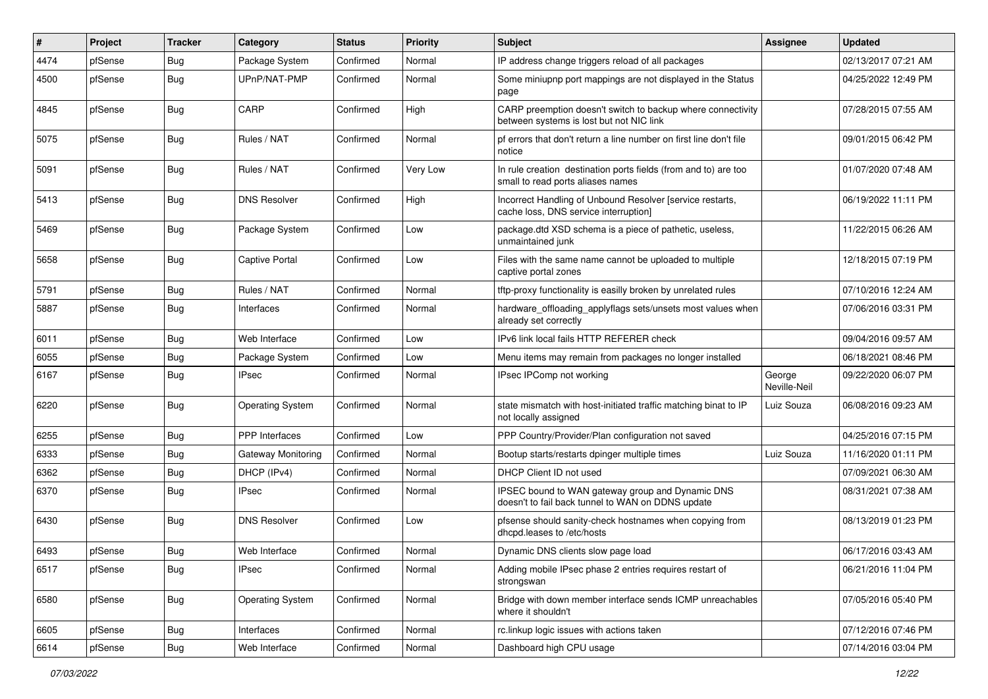| $\vert$ # | Project | <b>Tracker</b> | Category                | <b>Status</b> | <b>Priority</b> | Subject                                                                                                 | <b>Assignee</b>        | <b>Updated</b>      |
|-----------|---------|----------------|-------------------------|---------------|-----------------|---------------------------------------------------------------------------------------------------------|------------------------|---------------------|
| 4474      | pfSense | Bug            | Package System          | Confirmed     | Normal          | IP address change triggers reload of all packages                                                       |                        | 02/13/2017 07:21 AM |
| 4500      | pfSense | Bug            | UPnP/NAT-PMP            | Confirmed     | Normal          | Some miniupnp port mappings are not displayed in the Status<br>page                                     |                        | 04/25/2022 12:49 PM |
| 4845      | pfSense | <b>Bug</b>     | CARP                    | Confirmed     | High            | CARP preemption doesn't switch to backup where connectivity<br>between systems is lost but not NIC link |                        | 07/28/2015 07:55 AM |
| 5075      | pfSense | <b>Bug</b>     | Rules / NAT             | Confirmed     | Normal          | pf errors that don't return a line number on first line don't file<br>notice                            |                        | 09/01/2015 06:42 PM |
| 5091      | pfSense | <b>Bug</b>     | Rules / NAT             | Confirmed     | Very Low        | In rule creation destination ports fields (from and to) are too<br>small to read ports aliases names    |                        | 01/07/2020 07:48 AM |
| 5413      | pfSense | <b>Bug</b>     | <b>DNS Resolver</b>     | Confirmed     | High            | Incorrect Handling of Unbound Resolver [service restarts,<br>cache loss, DNS service interruption]      |                        | 06/19/2022 11:11 PM |
| 5469      | pfSense | <b>Bug</b>     | Package System          | Confirmed     | Low             | package.dtd XSD schema is a piece of pathetic, useless,<br>unmaintained junk                            |                        | 11/22/2015 06:26 AM |
| 5658      | pfSense | <b>Bug</b>     | <b>Captive Portal</b>   | Confirmed     | Low             | Files with the same name cannot be uploaded to multiple<br>captive portal zones                         |                        | 12/18/2015 07:19 PM |
| 5791      | pfSense | Bug            | Rules / NAT             | Confirmed     | Normal          | tftp-proxy functionality is easilly broken by unrelated rules                                           |                        | 07/10/2016 12:24 AM |
| 5887      | pfSense | Bug            | Interfaces              | Confirmed     | Normal          | hardware_offloading_applyflags sets/unsets most values when<br>already set correctly                    |                        | 07/06/2016 03:31 PM |
| 6011      | pfSense | <b>Bug</b>     | Web Interface           | Confirmed     | Low             | IPv6 link local fails HTTP REFERER check                                                                |                        | 09/04/2016 09:57 AM |
| 6055      | pfSense | Bug            | Package System          | Confirmed     | Low             | Menu items may remain from packages no longer installed                                                 |                        | 06/18/2021 08:46 PM |
| 6167      | pfSense | Bug            | <b>IPsec</b>            | Confirmed     | Normal          | IPsec IPComp not working                                                                                | George<br>Neville-Neil | 09/22/2020 06:07 PM |
| 6220      | pfSense | <b>Bug</b>     | <b>Operating System</b> | Confirmed     | Normal          | state mismatch with host-initiated traffic matching binat to IP<br>not locally assigned                 | Luiz Souza             | 06/08/2016 09:23 AM |
| 6255      | pfSense | Bug            | PPP Interfaces          | Confirmed     | Low             | PPP Country/Provider/Plan configuration not saved                                                       |                        | 04/25/2016 07:15 PM |
| 6333      | pfSense | <b>Bug</b>     | Gateway Monitoring      | Confirmed     | Normal          | Bootup starts/restarts dpinger multiple times                                                           | Luiz Souza             | 11/16/2020 01:11 PM |
| 6362      | pfSense | <b>Bug</b>     | DHCP (IPv4)             | Confirmed     | Normal          | DHCP Client ID not used                                                                                 |                        | 07/09/2021 06:30 AM |
| 6370      | pfSense | Bug            | <b>IPsec</b>            | Confirmed     | Normal          | IPSEC bound to WAN gateway group and Dynamic DNS<br>doesn't to fail back tunnel to WAN on DDNS update   |                        | 08/31/2021 07:38 AM |
| 6430      | pfSense | <b>Bug</b>     | <b>DNS Resolver</b>     | Confirmed     | Low             | pfsense should sanity-check hostnames when copying from<br>dhcpd.leases to /etc/hosts                   |                        | 08/13/2019 01:23 PM |
| 6493      | pfSense | Bug            | Web Interface           | Confirmed     | Normal          | Dynamic DNS clients slow page load                                                                      |                        | 06/17/2016 03:43 AM |
| 6517      | pfSense | <b>Bug</b>     | IPsec                   | Confirmed     | Normal          | Adding mobile IPsec phase 2 entries requires restart of<br>strongswan                                   |                        | 06/21/2016 11:04 PM |
| 6580      | pfSense | Bug            | Operating System        | Confirmed     | Normal          | Bridge with down member interface sends ICMP unreachables<br>where it shouldn't                         |                        | 07/05/2016 05:40 PM |
| 6605      | pfSense | <b>Bug</b>     | Interfaces              | Confirmed     | Normal          | rc.linkup logic issues with actions taken                                                               |                        | 07/12/2016 07:46 PM |
| 6614      | pfSense | <b>Bug</b>     | Web Interface           | Confirmed     | Normal          | Dashboard high CPU usage                                                                                |                        | 07/14/2016 03:04 PM |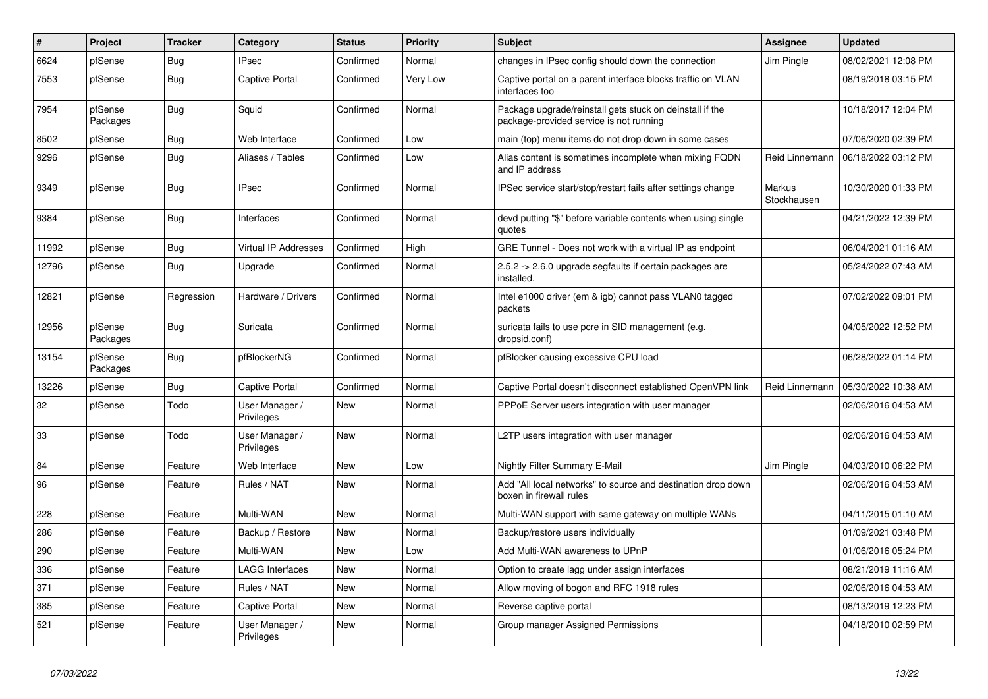| #     | Project             | <b>Tracker</b> | Category                     | <b>Status</b> | <b>Priority</b> | <b>Subject</b>                                                                                      | <b>Assignee</b>       | <b>Updated</b>      |
|-------|---------------------|----------------|------------------------------|---------------|-----------------|-----------------------------------------------------------------------------------------------------|-----------------------|---------------------|
| 6624  | pfSense             | <b>Bug</b>     | <b>IPsec</b>                 | Confirmed     | Normal          | changes in IPsec config should down the connection                                                  | Jim Pingle            | 08/02/2021 12:08 PM |
| 7553  | pfSense             | <b>Bug</b>     | Captive Portal               | Confirmed     | <b>Very Low</b> | Captive portal on a parent interface blocks traffic on VLAN<br>interfaces too                       |                       | 08/19/2018 03:15 PM |
| 7954  | pfSense<br>Packages | Bug            | Squid                        | Confirmed     | Normal          | Package upgrade/reinstall gets stuck on deinstall if the<br>package-provided service is not running |                       | 10/18/2017 12:04 PM |
| 8502  | pfSense             | Bug            | Web Interface                | Confirmed     | Low             | main (top) menu items do not drop down in some cases                                                |                       | 07/06/2020 02:39 PM |
| 9296  | pfSense             | <b>Bug</b>     | Aliases / Tables             | Confirmed     | Low             | Alias content is sometimes incomplete when mixing FQDN<br>and IP address                            | Reid Linnemann        | 06/18/2022 03:12 PM |
| 9349  | pfSense             | <b>Bug</b>     | <b>IPsec</b>                 | Confirmed     | Normal          | IPSec service start/stop/restart fails after settings change                                        | Markus<br>Stockhausen | 10/30/2020 01:33 PM |
| 9384  | pfSense             | Bug            | Interfaces                   | Confirmed     | Normal          | devd putting "\$" before variable contents when using single<br>quotes                              |                       | 04/21/2022 12:39 PM |
| 11992 | pfSense             | Bug            | <b>Virtual IP Addresses</b>  | Confirmed     | High            | GRE Tunnel - Does not work with a virtual IP as endpoint                                            |                       | 06/04/2021 01:16 AM |
| 12796 | pfSense             | <b>Bug</b>     | Upgrade                      | Confirmed     | Normal          | $2.5.2 \rightarrow 2.6.0$ upgrade segfaults if certain packages are<br>installed.                   |                       | 05/24/2022 07:43 AM |
| 12821 | pfSense             | Regression     | Hardware / Drivers           | Confirmed     | Normal          | Intel e1000 driver (em & igb) cannot pass VLAN0 tagged<br>packets                                   |                       | 07/02/2022 09:01 PM |
| 12956 | pfSense<br>Packages | Bug            | Suricata                     | Confirmed     | Normal          | suricata fails to use pcre in SID management (e.g.<br>dropsid.conf)                                 |                       | 04/05/2022 12:52 PM |
| 13154 | pfSense<br>Packages | Bug            | pfBlockerNG                  | Confirmed     | Normal          | pfBlocker causing excessive CPU load                                                                |                       | 06/28/2022 01:14 PM |
| 13226 | pfSense             | Bug            | <b>Captive Portal</b>        | Confirmed     | Normal          | Captive Portal doesn't disconnect established OpenVPN link                                          | Reid Linnemann        | 05/30/2022 10:38 AM |
| 32    | pfSense             | Todo           | User Manager /<br>Privileges | <b>New</b>    | Normal          | PPPoE Server users integration with user manager                                                    |                       | 02/06/2016 04:53 AM |
| 33    | pfSense             | Todo           | User Manager /<br>Privileges | <b>New</b>    | Normal          | L2TP users integration with user manager                                                            |                       | 02/06/2016 04:53 AM |
| 84    | pfSense             | Feature        | Web Interface                | <b>New</b>    | Low             | Nightly Filter Summary E-Mail                                                                       | Jim Pingle            | 04/03/2010 06:22 PM |
| 96    | pfSense             | Feature        | Rules / NAT                  | <b>New</b>    | Normal          | Add "All local networks" to source and destination drop down<br>boxen in firewall rules             |                       | 02/06/2016 04:53 AM |
| 228   | pfSense             | Feature        | Multi-WAN                    | <b>New</b>    | Normal          | Multi-WAN support with same gateway on multiple WANs                                                |                       | 04/11/2015 01:10 AM |
| 286   | pfSense             | Feature        | Backup / Restore             | New           | Normal          | Backup/restore users individually                                                                   |                       | 01/09/2021 03:48 PM |
| 290   | pfSense             | Feature        | Multi-WAN                    | <b>New</b>    | Low             | Add Multi-WAN awareness to UPnP                                                                     |                       | 01/06/2016 05:24 PM |
| 336   | pfSense             | Feature        | <b>LAGG Interfaces</b>       | <b>New</b>    | Normal          | Option to create lagg under assign interfaces                                                       |                       | 08/21/2019 11:16 AM |
| 371   | pfSense             | Feature        | Rules / NAT                  | <b>New</b>    | Normal          | Allow moving of bogon and RFC 1918 rules                                                            |                       | 02/06/2016 04:53 AM |
| 385   | pfSense             | Feature        | <b>Captive Portal</b>        | <b>New</b>    | Normal          | Reverse captive portal                                                                              |                       | 08/13/2019 12:23 PM |
| 521   | pfSense             | Feature        | User Manager /<br>Privileges | <b>New</b>    | Normal          | Group manager Assigned Permissions                                                                  |                       | 04/18/2010 02:59 PM |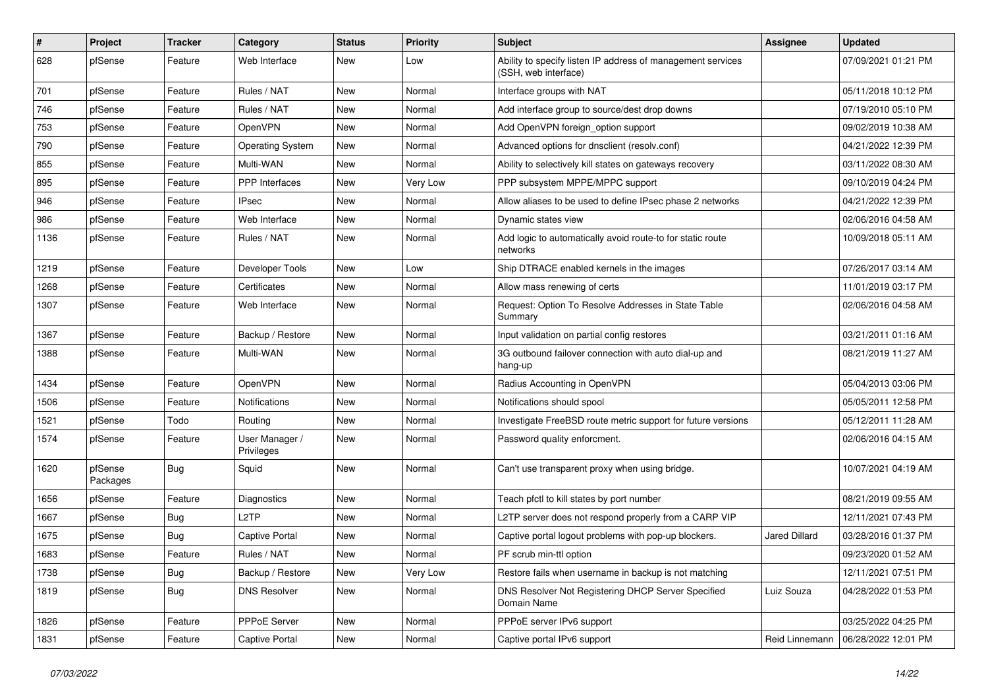| $\vert$ # | Project             | <b>Tracker</b> | Category                     | <b>Status</b> | <b>Priority</b> | Subject                                                                             | Assignee             | <b>Updated</b>      |
|-----------|---------------------|----------------|------------------------------|---------------|-----------------|-------------------------------------------------------------------------------------|----------------------|---------------------|
| 628       | pfSense             | Feature        | Web Interface                | New           | Low             | Ability to specify listen IP address of management services<br>(SSH, web interface) |                      | 07/09/2021 01:21 PM |
| 701       | pfSense             | Feature        | Rules / NAT                  | New           | Normal          | Interface groups with NAT                                                           |                      | 05/11/2018 10:12 PM |
| 746       | pfSense             | Feature        | Rules / NAT                  | New           | Normal          | Add interface group to source/dest drop downs                                       |                      | 07/19/2010 05:10 PM |
| 753       | pfSense             | Feature        | OpenVPN                      | <b>New</b>    | Normal          | Add OpenVPN foreign_option support                                                  |                      | 09/02/2019 10:38 AM |
| 790       | pfSense             | Feature        | <b>Operating System</b>      | New           | Normal          | Advanced options for dnsclient (resolv.conf)                                        |                      | 04/21/2022 12:39 PM |
| 855       | pfSense             | Feature        | Multi-WAN                    | New           | Normal          | Ability to selectively kill states on gateways recovery                             |                      | 03/11/2022 08:30 AM |
| 895       | pfSense             | Feature        | PPP Interfaces               | New           | Very Low        | PPP subsystem MPPE/MPPC support                                                     |                      | 09/10/2019 04:24 PM |
| 946       | pfSense             | Feature        | <b>IPsec</b>                 | New           | Normal          | Allow aliases to be used to define IPsec phase 2 networks                           |                      | 04/21/2022 12:39 PM |
| 986       | pfSense             | Feature        | Web Interface                | New           | Normal          | Dynamic states view                                                                 |                      | 02/06/2016 04:58 AM |
| 1136      | pfSense             | Feature        | Rules / NAT                  | New           | Normal          | Add logic to automatically avoid route-to for static route<br>networks              |                      | 10/09/2018 05:11 AM |
| 1219      | pfSense             | Feature        | Developer Tools              | New           | Low             | Ship DTRACE enabled kernels in the images                                           |                      | 07/26/2017 03:14 AM |
| 1268      | pfSense             | Feature        | Certificates                 | New           | Normal          | Allow mass renewing of certs                                                        |                      | 11/01/2019 03:17 PM |
| 1307      | pfSense             | Feature        | Web Interface                | New           | Normal          | Request: Option To Resolve Addresses in State Table<br>Summary                      |                      | 02/06/2016 04:58 AM |
| 1367      | pfSense             | Feature        | Backup / Restore             | <b>New</b>    | Normal          | Input validation on partial config restores                                         |                      | 03/21/2011 01:16 AM |
| 1388      | pfSense             | Feature        | Multi-WAN                    | New           | Normal          | 3G outbound failover connection with auto dial-up and<br>hang-up                    |                      | 08/21/2019 11:27 AM |
| 1434      | pfSense             | Feature        | OpenVPN                      | New           | Normal          | Radius Accounting in OpenVPN                                                        |                      | 05/04/2013 03:06 PM |
| 1506      | pfSense             | Feature        | Notifications                | New           | Normal          | Notifications should spool                                                          |                      | 05/05/2011 12:58 PM |
| 1521      | pfSense             | Todo           | Routing                      | New           | Normal          | Investigate FreeBSD route metric support for future versions                        |                      | 05/12/2011 11:28 AM |
| 1574      | pfSense             | Feature        | User Manager /<br>Privileges | New           | Normal          | Password quality enforcment.                                                        |                      | 02/06/2016 04:15 AM |
| 1620      | pfSense<br>Packages | <b>Bug</b>     | Squid                        | New           | Normal          | Can't use transparent proxy when using bridge.                                      |                      | 10/07/2021 04:19 AM |
| 1656      | pfSense             | Feature        | Diagnostics                  | New           | Normal          | Teach pfctl to kill states by port number                                           |                      | 08/21/2019 09:55 AM |
| 1667      | pfSense             | <b>Bug</b>     | L2TP                         | <b>New</b>    | Normal          | L2TP server does not respond properly from a CARP VIP                               |                      | 12/11/2021 07:43 PM |
| 1675      | pfSense             | Bug            | <b>Captive Portal</b>        | New           | Normal          | Captive portal logout problems with pop-up blockers.                                | <b>Jared Dillard</b> | 03/28/2016 01:37 PM |
| 1683      | pfSense             | Feature        | Rules / NAT                  | New           | Normal          | PF scrub min-ttl option                                                             |                      | 09/23/2020 01:52 AM |
| 1738      | pfSense             | Bug            | Backup / Restore             | New           | Very Low        | Restore fails when username in backup is not matching                               |                      | 12/11/2021 07:51 PM |
| 1819      | pfSense             | <b>Bug</b>     | <b>DNS Resolver</b>          | New           | Normal          | DNS Resolver Not Registering DHCP Server Specified<br>Domain Name                   | Luiz Souza           | 04/28/2022 01:53 PM |
| 1826      | pfSense             | Feature        | PPPoE Server                 | New           | Normal          | PPPoE server IPv6 support                                                           |                      | 03/25/2022 04:25 PM |
| 1831      | pfSense             | Feature        | <b>Captive Portal</b>        | New           | Normal          | Captive portal IPv6 support                                                         | Reid Linnemann       | 06/28/2022 12:01 PM |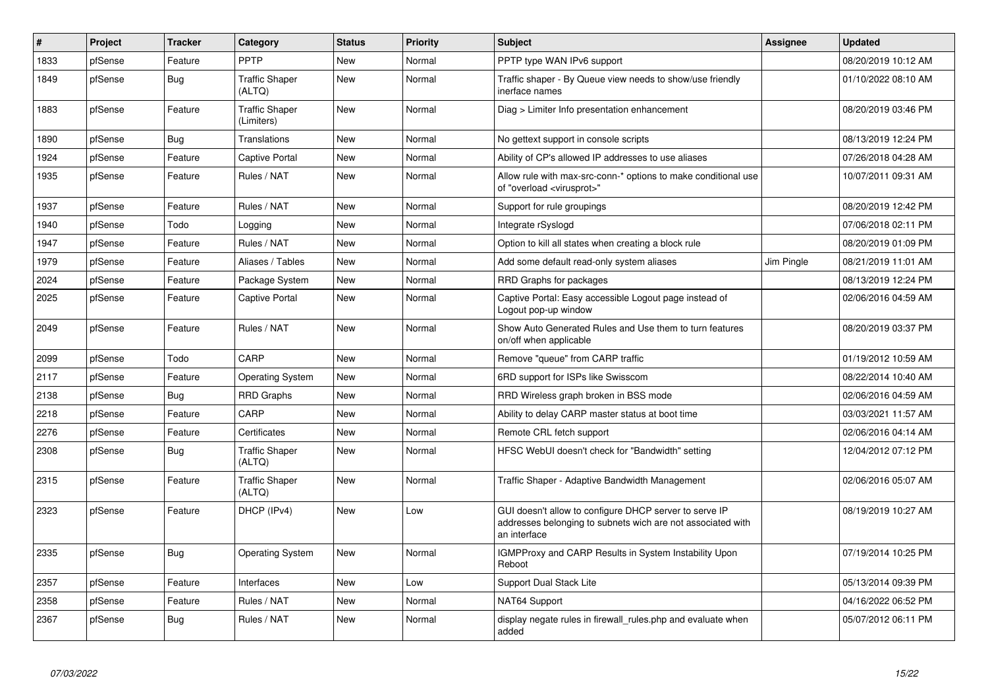| #    | <b>Project</b> | <b>Tracker</b> | Category                            | <b>Status</b> | Priority | <b>Subject</b>                                                                                                                        | Assignee   | <b>Updated</b>      |
|------|----------------|----------------|-------------------------------------|---------------|----------|---------------------------------------------------------------------------------------------------------------------------------------|------------|---------------------|
| 1833 | pfSense        | Feature        | PPTP                                | <b>New</b>    | Normal   | PPTP type WAN IPv6 support                                                                                                            |            | 08/20/2019 10:12 AM |
| 1849 | pfSense        | Bug            | <b>Traffic Shaper</b><br>(ALTQ)     | <b>New</b>    | Normal   | Traffic shaper - By Queue view needs to show/use friendly<br>inerface names                                                           |            | 01/10/2022 08:10 AM |
| 1883 | pfSense        | Feature        | <b>Traffic Shaper</b><br>(Limiters) | <b>New</b>    | Normal   | Diag > Limiter Info presentation enhancement                                                                                          |            | 08/20/2019 03:46 PM |
| 1890 | pfSense        | Bug            | <b>Translations</b>                 | New           | Normal   | No gettext support in console scripts                                                                                                 |            | 08/13/2019 12:24 PM |
| 1924 | pfSense        | Feature        | <b>Captive Portal</b>               | New           | Normal   | Ability of CP's allowed IP addresses to use aliases                                                                                   |            | 07/26/2018 04:28 AM |
| 1935 | pfSense        | Feature        | Rules / NAT                         | New           | Normal   | Allow rule with max-src-conn-* options to make conditional use<br>of "overload <virusprot>"</virusprot>                               |            | 10/07/2011 09:31 AM |
| 1937 | pfSense        | Feature        | Rules / NAT                         | New           | Normal   | Support for rule groupings                                                                                                            |            | 08/20/2019 12:42 PM |
| 1940 | pfSense        | Todo           | Logging                             | <b>New</b>    | Normal   | Integrate rSyslogd                                                                                                                    |            | 07/06/2018 02:11 PM |
| 1947 | pfSense        | Feature        | Rules / NAT                         | <b>New</b>    | Normal   | Option to kill all states when creating a block rule                                                                                  |            | 08/20/2019 01:09 PM |
| 1979 | pfSense        | Feature        | Aliases / Tables                    | New           | Normal   | Add some default read-only system aliases                                                                                             | Jim Pingle | 08/21/2019 11:01 AM |
| 2024 | pfSense        | Feature        | Package System                      | <b>New</b>    | Normal   | RRD Graphs for packages                                                                                                               |            | 08/13/2019 12:24 PM |
| 2025 | pfSense        | Feature        | <b>Captive Portal</b>               | <b>New</b>    | Normal   | Captive Portal: Easy accessible Logout page instead of<br>Logout pop-up window                                                        |            | 02/06/2016 04:59 AM |
| 2049 | pfSense        | Feature        | Rules / NAT                         | New           | Normal   | Show Auto Generated Rules and Use them to turn features<br>on/off when applicable                                                     |            | 08/20/2019 03:37 PM |
| 2099 | pfSense        | Todo           | CARP                                | <b>New</b>    | Normal   | Remove "queue" from CARP traffic                                                                                                      |            | 01/19/2012 10:59 AM |
| 2117 | pfSense        | Feature        | <b>Operating System</b>             | <b>New</b>    | Normal   | 6RD support for ISPs like Swisscom                                                                                                    |            | 08/22/2014 10:40 AM |
| 2138 | pfSense        | <b>Bug</b>     | <b>RRD Graphs</b>                   | <b>New</b>    | Normal   | RRD Wireless graph broken in BSS mode                                                                                                 |            | 02/06/2016 04:59 AM |
| 2218 | pfSense        | Feature        | CARP                                | New           | Normal   | Ability to delay CARP master status at boot time                                                                                      |            | 03/03/2021 11:57 AM |
| 2276 | pfSense        | Feature        | Certificates                        | New           | Normal   | Remote CRL fetch support                                                                                                              |            | 02/06/2016 04:14 AM |
| 2308 | pfSense        | <b>Bug</b>     | <b>Traffic Shaper</b><br>(ALTQ)     | <b>New</b>    | Normal   | HFSC WebUI doesn't check for "Bandwidth" setting                                                                                      |            | 12/04/2012 07:12 PM |
| 2315 | pfSense        | Feature        | <b>Traffic Shaper</b><br>(ALTQ)     | New           | Normal   | Traffic Shaper - Adaptive Bandwidth Management                                                                                        |            | 02/06/2016 05:07 AM |
| 2323 | pfSense        | Feature        | DHCP (IPv4)                         | <b>New</b>    | Low      | GUI doesn't allow to configure DHCP server to serve IP<br>addresses belonging to subnets wich are not associated with<br>an interface |            | 08/19/2019 10:27 AM |
| 2335 | pfSense        | Bug            | <b>Operating System</b>             | New           | Normal   | <b>IGMPProxy and CARP Results in System Instability Upon</b><br>Reboot                                                                |            | 07/19/2014 10:25 PM |
| 2357 | pfSense        | Feature        | Interfaces                          | <b>New</b>    | Low      | <b>Support Dual Stack Lite</b>                                                                                                        |            | 05/13/2014 09:39 PM |
| 2358 | pfSense        | Feature        | Rules / NAT                         | New           | Normal   | NAT64 Support                                                                                                                         |            | 04/16/2022 06:52 PM |
| 2367 | pfSense        | <b>Bug</b>     | Rules / NAT                         | <b>New</b>    | Normal   | display negate rules in firewall_rules.php and evaluate when<br>added                                                                 |            | 05/07/2012 06:11 PM |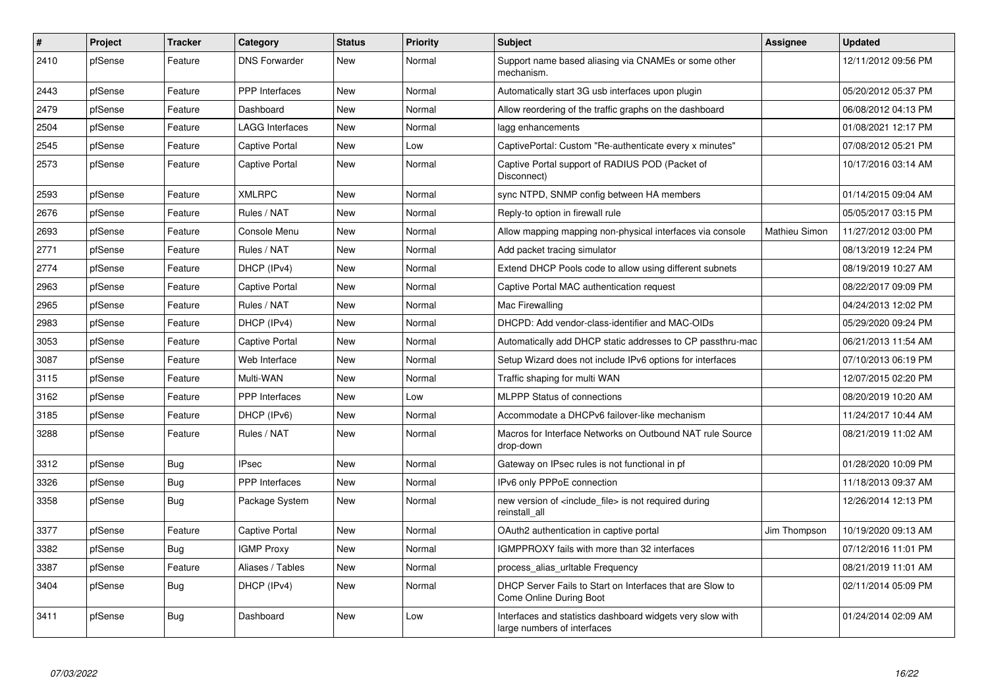| #    | Project | <b>Tracker</b> | Category               | <b>Status</b> | <b>Priority</b> | <b>Subject</b>                                                                            | <b>Assignee</b> | <b>Updated</b>      |
|------|---------|----------------|------------------------|---------------|-----------------|-------------------------------------------------------------------------------------------|-----------------|---------------------|
| 2410 | pfSense | Feature        | <b>DNS Forwarder</b>   | <b>New</b>    | Normal          | Support name based aliasing via CNAMEs or some other<br>mechanism.                        |                 | 12/11/2012 09:56 PM |
| 2443 | pfSense | Feature        | PPP Interfaces         | <b>New</b>    | Normal          | Automatically start 3G usb interfaces upon plugin                                         |                 | 05/20/2012 05:37 PM |
| 2479 | pfSense | Feature        | Dashboard              | <b>New</b>    | Normal          | Allow reordering of the traffic graphs on the dashboard                                   |                 | 06/08/2012 04:13 PM |
| 2504 | pfSense | Feature        | <b>LAGG Interfaces</b> | <b>New</b>    | Normal          | lagg enhancements                                                                         |                 | 01/08/2021 12:17 PM |
| 2545 | pfSense | Feature        | Captive Portal         | <b>New</b>    | Low             | CaptivePortal: Custom "Re-authenticate every x minutes"                                   |                 | 07/08/2012 05:21 PM |
| 2573 | pfSense | Feature        | <b>Captive Portal</b>  | <b>New</b>    | Normal          | Captive Portal support of RADIUS POD (Packet of<br>Disconnect)                            |                 | 10/17/2016 03:14 AM |
| 2593 | pfSense | Feature        | <b>XMLRPC</b>          | <b>New</b>    | Normal          | sync NTPD, SNMP config between HA members                                                 |                 | 01/14/2015 09:04 AM |
| 2676 | pfSense | Feature        | Rules / NAT            | <b>New</b>    | Normal          | Reply-to option in firewall rule                                                          |                 | 05/05/2017 03:15 PM |
| 2693 | pfSense | Feature        | Console Menu           | <b>New</b>    | Normal          | Allow mapping mapping non-physical interfaces via console                                 | Mathieu Simon   | 11/27/2012 03:00 PM |
| 2771 | pfSense | Feature        | Rules / NAT            | <b>New</b>    | Normal          | Add packet tracing simulator                                                              |                 | 08/13/2019 12:24 PM |
| 2774 | pfSense | Feature        | DHCP (IPv4)            | New           | Normal          | Extend DHCP Pools code to allow using different subnets                                   |                 | 08/19/2019 10:27 AM |
| 2963 | pfSense | Feature        | <b>Captive Portal</b>  | <b>New</b>    | Normal          | Captive Portal MAC authentication request                                                 |                 | 08/22/2017 09:09 PM |
| 2965 | pfSense | Feature        | Rules / NAT            | <b>New</b>    | Normal          | Mac Firewalling                                                                           |                 | 04/24/2013 12:02 PM |
| 2983 | pfSense | Feature        | DHCP (IPv4)            | <b>New</b>    | Normal          | DHCPD: Add vendor-class-identifier and MAC-OIDs                                           |                 | 05/29/2020 09:24 PM |
| 3053 | pfSense | Feature        | <b>Captive Portal</b>  | <b>New</b>    | Normal          | Automatically add DHCP static addresses to CP passthru-mac                                |                 | 06/21/2013 11:54 AM |
| 3087 | pfSense | Feature        | Web Interface          | <b>New</b>    | Normal          | Setup Wizard does not include IPv6 options for interfaces                                 |                 | 07/10/2013 06:19 PM |
| 3115 | pfSense | Feature        | Multi-WAN              | <b>New</b>    | Normal          | Traffic shaping for multi WAN                                                             |                 | 12/07/2015 02:20 PM |
| 3162 | pfSense | Feature        | <b>PPP</b> Interfaces  | New           | Low             | <b>MLPPP Status of connections</b>                                                        |                 | 08/20/2019 10:20 AM |
| 3185 | pfSense | Feature        | DHCP (IPv6)            | <b>New</b>    | Normal          | Accommodate a DHCPv6 failover-like mechanism                                              |                 | 11/24/2017 10:44 AM |
| 3288 | pfSense | Feature        | Rules / NAT            | <b>New</b>    | Normal          | Macros for Interface Networks on Outbound NAT rule Source<br>drop-down                    |                 | 08/21/2019 11:02 AM |
| 3312 | pfSense | Bug            | <b>IPsec</b>           | <b>New</b>    | Normal          | Gateway on IPsec rules is not functional in pf                                            |                 | 01/28/2020 10:09 PM |
| 3326 | pfSense | Bug            | PPP Interfaces         | <b>New</b>    | Normal          | IPv6 only PPPoE connection                                                                |                 | 11/18/2013 09:37 AM |
| 3358 | pfSense | Bug            | Package System         | New           | Normal          | new version of <include file=""> is not required during<br/>reinstall all</include>       |                 | 12/26/2014 12:13 PM |
| 3377 | pfSense | Feature        | <b>Captive Portal</b>  | <b>New</b>    | Normal          | OAuth2 authentication in captive portal                                                   | Jim Thompson    | 10/19/2020 09:13 AM |
| 3382 | pfSense | Bug            | <b>IGMP Proxy</b>      | <b>New</b>    | Normal          | <b>IGMPPROXY</b> fails with more than 32 interfaces                                       |                 | 07/12/2016 11:01 PM |
| 3387 | pfSense | Feature        | Aliases / Tables       | <b>New</b>    | Normal          | process_alias_urltable Frequency                                                          |                 | 08/21/2019 11:01 AM |
| 3404 | pfSense | Bug            | DHCP (IPv4)            | <b>New</b>    | Normal          | DHCP Server Fails to Start on Interfaces that are Slow to<br>Come Online During Boot      |                 | 02/11/2014 05:09 PM |
| 3411 | pfSense | <b>Bug</b>     | Dashboard              | <b>New</b>    | Low             | Interfaces and statistics dashboard widgets very slow with<br>large numbers of interfaces |                 | 01/24/2014 02:09 AM |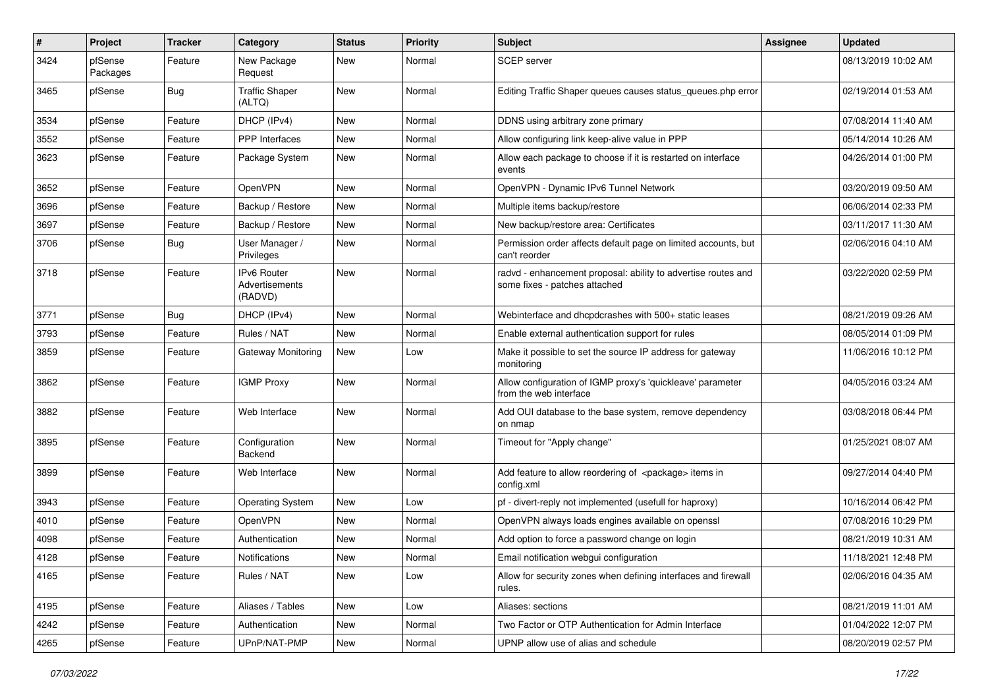| $\#$ | Project             | <b>Tracker</b> | Category                                | <b>Status</b> | <b>Priority</b> | <b>Subject</b>                                                                                 | <b>Assignee</b> | <b>Updated</b>      |
|------|---------------------|----------------|-----------------------------------------|---------------|-----------------|------------------------------------------------------------------------------------------------|-----------------|---------------------|
| 3424 | pfSense<br>Packages | Feature        | New Package<br>Request                  | <b>New</b>    | Normal          | <b>SCEP</b> server                                                                             |                 | 08/13/2019 10:02 AM |
| 3465 | pfSense             | Bug            | <b>Traffic Shaper</b><br>(ALTQ)         | <b>New</b>    | Normal          | Editing Traffic Shaper queues causes status_queues.php error                                   |                 | 02/19/2014 01:53 AM |
| 3534 | pfSense             | Feature        | DHCP (IPv4)                             | <b>New</b>    | Normal          | DDNS using arbitrary zone primary                                                              |                 | 07/08/2014 11:40 AM |
| 3552 | pfSense             | Feature        | PPP Interfaces                          | New           | Normal          | Allow configuring link keep-alive value in PPP                                                 |                 | 05/14/2014 10:26 AM |
| 3623 | pfSense             | Feature        | Package System                          | <b>New</b>    | Normal          | Allow each package to choose if it is restarted on interface<br>events                         |                 | 04/26/2014 01:00 PM |
| 3652 | pfSense             | Feature        | OpenVPN                                 | <b>New</b>    | Normal          | OpenVPN - Dynamic IPv6 Tunnel Network                                                          |                 | 03/20/2019 09:50 AM |
| 3696 | pfSense             | Feature        | Backup / Restore                        | <b>New</b>    | Normal          | Multiple items backup/restore                                                                  |                 | 06/06/2014 02:33 PM |
| 3697 | pfSense             | Feature        | Backup / Restore                        | New           | Normal          | New backup/restore area: Certificates                                                          |                 | 03/11/2017 11:30 AM |
| 3706 | pfSense             | Bug            | User Manager /<br>Privileges            | New           | Normal          | Permission order affects default page on limited accounts, but<br>can't reorder                |                 | 02/06/2016 04:10 AM |
| 3718 | pfSense             | Feature        | Pv6 Router<br>Advertisements<br>(RADVD) | New           | Normal          | radvd - enhancement proposal: ability to advertise routes and<br>some fixes - patches attached |                 | 03/22/2020 02:59 PM |
| 3771 | pfSense             | Bug            | DHCP (IPv4)                             | New           | Normal          | Webinterface and dhcpdcrashes with 500+ static leases                                          |                 | 08/21/2019 09:26 AM |
| 3793 | pfSense             | Feature        | Rules / NAT                             | <b>New</b>    | Normal          | Enable external authentication support for rules                                               |                 | 08/05/2014 01:09 PM |
| 3859 | pfSense             | Feature        | Gateway Monitoring                      | New           | Low             | Make it possible to set the source IP address for gateway<br>monitoring                        |                 | 11/06/2016 10:12 PM |
| 3862 | pfSense             | Feature        | <b>IGMP Proxy</b>                       | <b>New</b>    | Normal          | Allow configuration of IGMP proxy's 'quickleave' parameter<br>from the web interface           |                 | 04/05/2016 03:24 AM |
| 3882 | pfSense             | Feature        | Web Interface                           | New           | Normal          | Add OUI database to the base system, remove dependency<br>on nmap                              |                 | 03/08/2018 06:44 PM |
| 3895 | pfSense             | Feature        | Configuration<br>Backend                | New           | Normal          | Timeout for "Apply change"                                                                     |                 | 01/25/2021 08:07 AM |
| 3899 | pfSense             | Feature        | Web Interface                           | New           | Normal          | Add feature to allow reordering of <package> items in<br/>config.xml</package>                 |                 | 09/27/2014 04:40 PM |
| 3943 | pfSense             | Feature        | <b>Operating System</b>                 | <b>New</b>    | Low             | pf - divert-reply not implemented (usefull for haproxy)                                        |                 | 10/16/2014 06:42 PM |
| 4010 | pfSense             | Feature        | <b>OpenVPN</b>                          | New           | Normal          | OpenVPN always loads engines available on openssl                                              |                 | 07/08/2016 10:29 PM |
| 4098 | pfSense             | Feature        | Authentication                          | New           | Normal          | Add option to force a password change on login                                                 |                 | 08/21/2019 10:31 AM |
| 4128 | pfSense             | Feature        | Notifications                           | New           | Normal          | Email notification webgui configuration                                                        |                 | 11/18/2021 12:48 PM |
| 4165 | pfSense             | Feature        | Rules / NAT                             | New           | Low             | Allow for security zones when defining interfaces and firewall<br>rules.                       |                 | 02/06/2016 04:35 AM |
| 4195 | pfSense             | Feature        | Aliases / Tables                        | New           | Low             | Aliases: sections                                                                              |                 | 08/21/2019 11:01 AM |
| 4242 | pfSense             | Feature        | Authentication                          | New           | Normal          | Two Factor or OTP Authentication for Admin Interface                                           |                 | 01/04/2022 12:07 PM |
| 4265 | pfSense             | Feature        | UPnP/NAT-PMP                            | New           | Normal          | UPNP allow use of alias and schedule                                                           |                 | 08/20/2019 02:57 PM |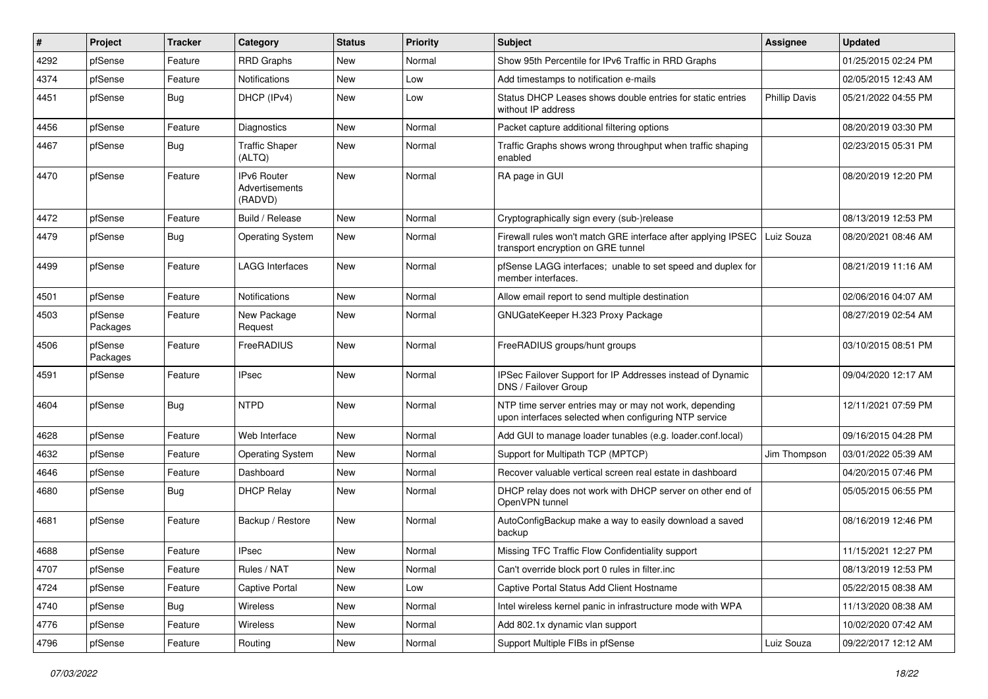| $\vert$ # | Project             | <b>Tracker</b> | Category                                        | <b>Status</b> | <b>Priority</b> | Subject                                                                                                         | <b>Assignee</b>      | <b>Updated</b>      |
|-----------|---------------------|----------------|-------------------------------------------------|---------------|-----------------|-----------------------------------------------------------------------------------------------------------------|----------------------|---------------------|
| 4292      | pfSense             | Feature        | <b>RRD Graphs</b>                               | New           | Normal          | Show 95th Percentile for IPv6 Traffic in RRD Graphs                                                             |                      | 01/25/2015 02:24 PM |
| 4374      | pfSense             | Feature        | <b>Notifications</b>                            | <b>New</b>    | Low             | Add timestamps to notification e-mails                                                                          |                      | 02/05/2015 12:43 AM |
| 4451      | pfSense             | Bug            | DHCP (IPv4)                                     | New           | Low             | Status DHCP Leases shows double entries for static entries<br>without IP address                                | <b>Phillip Davis</b> | 05/21/2022 04:55 PM |
| 4456      | pfSense             | Feature        | Diagnostics                                     | <b>New</b>    | Normal          | Packet capture additional filtering options                                                                     |                      | 08/20/2019 03:30 PM |
| 4467      | pfSense             | Bug            | <b>Traffic Shaper</b><br>(ALTQ)                 | New           | Normal          | Traffic Graphs shows wrong throughput when traffic shaping<br>enabled                                           |                      | 02/23/2015 05:31 PM |
| 4470      | pfSense             | Feature        | <b>IPv6 Router</b><br>Advertisements<br>(RADVD) | New           | Normal          | RA page in GUI                                                                                                  |                      | 08/20/2019 12:20 PM |
| 4472      | pfSense             | Feature        | Build / Release                                 | <b>New</b>    | Normal          | Cryptographically sign every (sub-)release                                                                      |                      | 08/13/2019 12:53 PM |
| 4479      | pfSense             | Bug            | <b>Operating System</b>                         | New           | Normal          | Firewall rules won't match GRE interface after applying IPSEC<br>transport encryption on GRE tunnel             | Luiz Souza           | 08/20/2021 08:46 AM |
| 4499      | pfSense             | Feature        | <b>LAGG Interfaces</b>                          | <b>New</b>    | Normal          | pfSense LAGG interfaces; unable to set speed and duplex for<br>member interfaces.                               |                      | 08/21/2019 11:16 AM |
| 4501      | pfSense             | Feature        | Notifications                                   | <b>New</b>    | Normal          | Allow email report to send multiple destination                                                                 |                      | 02/06/2016 04:07 AM |
| 4503      | pfSense<br>Packages | Feature        | New Package<br>Request                          | New           | Normal          | GNUGateKeeper H.323 Proxy Package                                                                               |                      | 08/27/2019 02:54 AM |
| 4506      | pfSense<br>Packages | Feature        | FreeRADIUS                                      | <b>New</b>    | Normal          | FreeRADIUS groups/hunt groups                                                                                   |                      | 03/10/2015 08:51 PM |
| 4591      | pfSense             | Feature        | <b>IPsec</b>                                    | New           | Normal          | IPSec Failover Support for IP Addresses instead of Dynamic<br>DNS / Failover Group                              |                      | 09/04/2020 12:17 AM |
| 4604      | pfSense             | Bug            | <b>NTPD</b>                                     | <b>New</b>    | Normal          | NTP time server entries may or may not work, depending<br>upon interfaces selected when configuring NTP service |                      | 12/11/2021 07:59 PM |
| 4628      | pfSense             | Feature        | Web Interface                                   | <b>New</b>    | Normal          | Add GUI to manage loader tunables (e.g. loader.conf.local)                                                      |                      | 09/16/2015 04:28 PM |
| 4632      | pfSense             | Feature        | <b>Operating System</b>                         | <b>New</b>    | Normal          | Support for Multipath TCP (MPTCP)                                                                               | Jim Thompson         | 03/01/2022 05:39 AM |
| 4646      | pfSense             | Feature        | Dashboard                                       | <b>New</b>    | Normal          | Recover valuable vertical screen real estate in dashboard                                                       |                      | 04/20/2015 07:46 PM |
| 4680      | pfSense             | Bug            | <b>DHCP Relay</b>                               | New           | Normal          | DHCP relay does not work with DHCP server on other end of<br>OpenVPN tunnel                                     |                      | 05/05/2015 06:55 PM |
| 4681      | pfSense             | Feature        | Backup / Restore                                | <b>New</b>    | Normal          | AutoConfigBackup make a way to easily download a saved<br>backup                                                |                      | 08/16/2019 12:46 PM |
| 4688      | pfSense             | Feature        | <b>IPsec</b>                                    | New           | Normal          | Missing TFC Traffic Flow Confidentiality support                                                                |                      | 11/15/2021 12:27 PM |
| 4707      | pfSense             | Feature        | Rules / NAT                                     | New           | Normal          | Can't override block port 0 rules in filter.inc                                                                 |                      | 08/13/2019 12:53 PM |
| 4724      | pfSense             | Feature        | Captive Portal                                  | New           | Low             | Captive Portal Status Add Client Hostname                                                                       |                      | 05/22/2015 08:38 AM |
| 4740      | pfSense             | <b>Bug</b>     | Wireless                                        | New           | Normal          | Intel wireless kernel panic in infrastructure mode with WPA                                                     |                      | 11/13/2020 08:38 AM |
| 4776      | pfSense             | Feature        | Wireless                                        | New           | Normal          | Add 802.1x dynamic vlan support                                                                                 |                      | 10/02/2020 07:42 AM |
| 4796      | pfSense             | Feature        | Routing                                         | New           | Normal          | Support Multiple FIBs in pfSense                                                                                | Luiz Souza           | 09/22/2017 12:12 AM |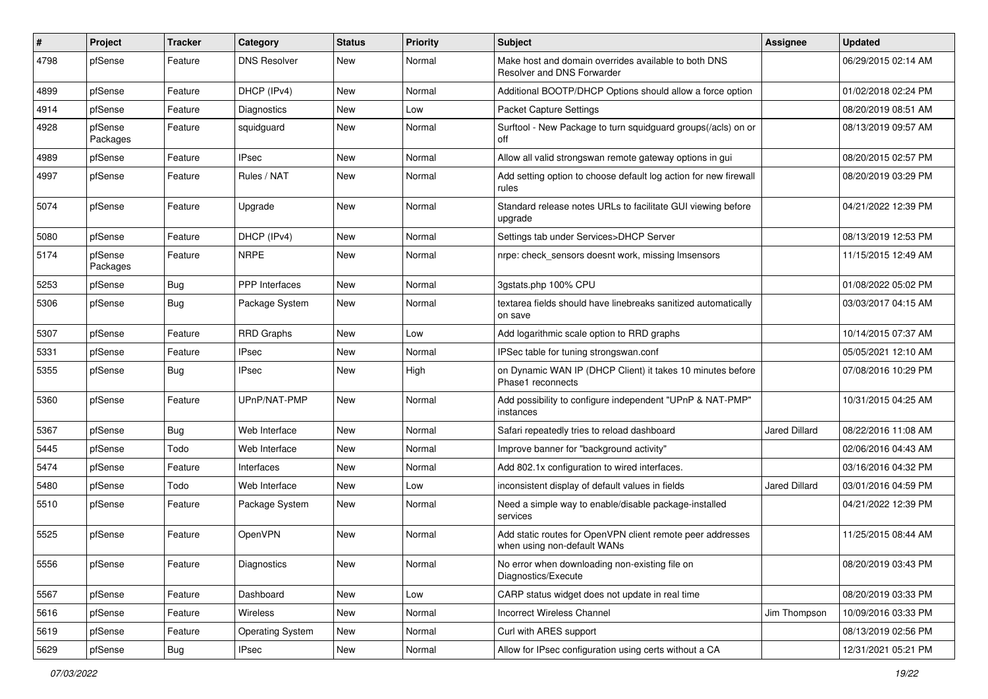| #    | Project             | <b>Tracker</b> | Category            | <b>Status</b> | <b>Priority</b> | Subject                                                                                   | <b>Assignee</b>      | <b>Updated</b>      |
|------|---------------------|----------------|---------------------|---------------|-----------------|-------------------------------------------------------------------------------------------|----------------------|---------------------|
| 4798 | pfSense             | Feature        | <b>DNS Resolver</b> | New           | Normal          | Make host and domain overrides available to both DNS<br>Resolver and DNS Forwarder        |                      | 06/29/2015 02:14 AM |
| 4899 | pfSense             | Feature        | DHCP (IPv4)         | New           | Normal          | Additional BOOTP/DHCP Options should allow a force option                                 |                      | 01/02/2018 02:24 PM |
| 4914 | pfSense             | Feature        | Diagnostics         | New           | Low             | <b>Packet Capture Settings</b>                                                            |                      | 08/20/2019 08:51 AM |
| 4928 | pfSense<br>Packages | Feature        | squidguard          | <b>New</b>    | Normal          | Surftool - New Package to turn squidguard groups(/acls) on or<br>off                      |                      | 08/13/2019 09:57 AM |
| 4989 | pfSense             | Feature        | <b>IPsec</b>        | <b>New</b>    | Normal          | Allow all valid strongswan remote gateway options in gui                                  |                      | 08/20/2015 02:57 PM |
| 4997 | pfSense             | Feature        | Rules / NAT         | <b>New</b>    | Normal          | Add setting option to choose default log action for new firewall<br>rules                 |                      | 08/20/2019 03:29 PM |
| 5074 | pfSense             | Feature        | Upgrade             | <b>New</b>    | Normal          | Standard release notes URLs to facilitate GUI viewing before<br>upgrade                   |                      | 04/21/2022 12:39 PM |
| 5080 | pfSense             | Feature        | DHCP (IPv4)         | <b>New</b>    | Normal          | Settings tab under Services>DHCP Server                                                   |                      | 08/13/2019 12:53 PM |
| 5174 | pfSense<br>Packages | Feature        | <b>NRPE</b>         | <b>New</b>    | Normal          | nrpe: check sensors doesnt work, missing Imsensors                                        |                      | 11/15/2015 12:49 AM |
| 5253 | pfSense             | <b>Bug</b>     | PPP Interfaces      | <b>New</b>    | Normal          | 3gstats.php 100% CPU                                                                      |                      | 01/08/2022 05:02 PM |
| 5306 | pfSense             | Bug            | Package System      | <b>New</b>    | Normal          | textarea fields should have linebreaks sanitized automatically<br>on save                 |                      | 03/03/2017 04:15 AM |
| 5307 | pfSense             | Feature        | <b>RRD Graphs</b>   | <b>New</b>    | Low             | Add logarithmic scale option to RRD graphs                                                |                      | 10/14/2015 07:37 AM |
| 5331 | pfSense             | Feature        | IPsec               | New           | Normal          | IPSec table for tuning strongswan.conf                                                    |                      | 05/05/2021 12:10 AM |
| 5355 | pfSense             | <b>Bug</b>     | IPsec               | New           | High            | on Dynamic WAN IP (DHCP Client) it takes 10 minutes before<br>Phase1 reconnects           |                      | 07/08/2016 10:29 PM |
| 5360 | pfSense             | Feature        | UPnP/NAT-PMP        | New           | Normal          | Add possibility to configure independent "UPnP & NAT-PMP"<br>instances                    |                      | 10/31/2015 04:25 AM |
| 5367 | pfSense             | Bug            | Web Interface       | New           | Normal          | Safari repeatedly tries to reload dashboard                                               | Jared Dillard        | 08/22/2016 11:08 AM |
| 5445 | pfSense             | Todo           | Web Interface       | New           | Normal          | Improve banner for "background activity"                                                  |                      | 02/06/2016 04:43 AM |
| 5474 | pfSense             | Feature        | Interfaces          | New           | Normal          | Add 802.1x configuration to wired interfaces.                                             |                      | 03/16/2016 04:32 PM |
| 5480 | pfSense             | Todo           | Web Interface       | <b>New</b>    | Low             | inconsistent display of default values in fields                                          | <b>Jared Dillard</b> | 03/01/2016 04:59 PM |
| 5510 | pfSense             | Feature        | Package System      | New           | Normal          | Need a simple way to enable/disable package-installed<br>services                         |                      | 04/21/2022 12:39 PM |
| 5525 | pfSense             | Feature        | OpenVPN             | <b>New</b>    | Normal          | Add static routes for OpenVPN client remote peer addresses<br>when using non-default WANs |                      | 11/25/2015 08:44 AM |
| 5556 | pfSense             | Feature        | Diagnostics         | New           | Normal          | No error when downloading non-existing file on<br>Diagnostics/Execute                     |                      | 08/20/2019 03:43 PM |
| 5567 | pfSense             | Feature        | Dashboard           | New           | Low             | CARP status widget does not update in real time                                           |                      | 08/20/2019 03:33 PM |
| 5616 | pfSense             | Feature        | Wireless            | New           | Normal          | Incorrect Wireless Channel                                                                | Jim Thompson         | 10/09/2016 03:33 PM |
| 5619 | pfSense             | Feature        | Operating System    | New           | Normal          | Curl with ARES support                                                                    |                      | 08/13/2019 02:56 PM |
| 5629 | pfSense             | Bug            | <b>IPsec</b>        | New           | Normal          | Allow for IPsec configuration using certs without a CA                                    |                      | 12/31/2021 05:21 PM |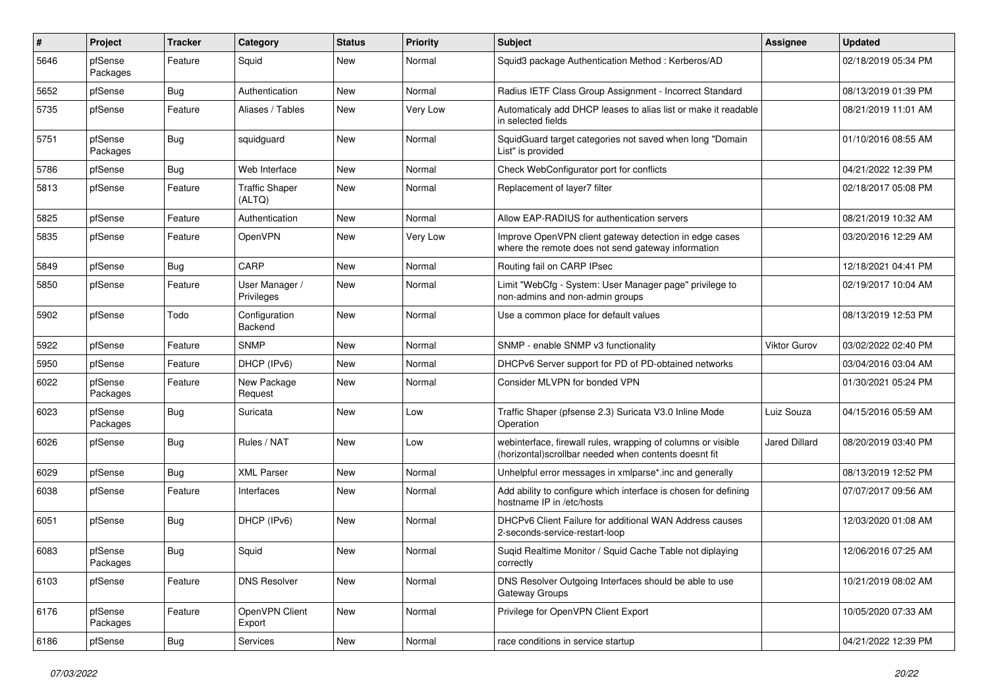| $\sharp$ | Project             | <b>Tracker</b> | Category                        | <b>Status</b> | Priority | <b>Subject</b>                                                                                                         | Assignee      | <b>Updated</b>      |
|----------|---------------------|----------------|---------------------------------|---------------|----------|------------------------------------------------------------------------------------------------------------------------|---------------|---------------------|
| 5646     | pfSense<br>Packages | Feature        | Squid                           | New           | Normal   | Squid3 package Authentication Method: Kerberos/AD                                                                      |               | 02/18/2019 05:34 PM |
| 5652     | pfSense             | Bug            | Authentication                  | <b>New</b>    | Normal   | Radius IETF Class Group Assignment - Incorrect Standard                                                                |               | 08/13/2019 01:39 PM |
| 5735     | pfSense             | Feature        | Aliases / Tables                | New           | Very Low | Automaticaly add DHCP leases to alias list or make it readable<br>in selected fields                                   |               | 08/21/2019 11:01 AM |
| 5751     | pfSense<br>Packages | Bug            | squidguard                      | <b>New</b>    | Normal   | SquidGuard target categories not saved when long "Domain<br>List" is provided                                          |               | 01/10/2016 08:55 AM |
| 5786     | pfSense             | Bug            | Web Interface                   | <b>New</b>    | Normal   | Check WebConfigurator port for conflicts                                                                               |               | 04/21/2022 12:39 PM |
| 5813     | pfSense             | Feature        | <b>Traffic Shaper</b><br>(ALTQ) | New           | Normal   | Replacement of layer7 filter                                                                                           |               | 02/18/2017 05:08 PM |
| 5825     | pfSense             | Feature        | Authentication                  | New           | Normal   | Allow EAP-RADIUS for authentication servers                                                                            |               | 08/21/2019 10:32 AM |
| 5835     | pfSense             | Feature        | OpenVPN                         | <b>New</b>    | Very Low | Improve OpenVPN client gateway detection in edge cases<br>where the remote does not send gateway information           |               | 03/20/2016 12:29 AM |
| 5849     | pfSense             | Bug            | CARP                            | New           | Normal   | Routing fail on CARP IPsec                                                                                             |               | 12/18/2021 04:41 PM |
| 5850     | pfSense             | Feature        | User Manager /<br>Privileges    | New           | Normal   | Limit "WebCfg - System: User Manager page" privilege to<br>non-admins and non-admin groups                             |               | 02/19/2017 10:04 AM |
| 5902     | pfSense             | Todo           | Configuration<br>Backend        | New           | Normal   | Use a common place for default values                                                                                  |               | 08/13/2019 12:53 PM |
| 5922     | pfSense             | Feature        | <b>SNMP</b>                     | New           | Normal   | SNMP - enable SNMP v3 functionality                                                                                    | Viktor Gurov  | 03/02/2022 02:40 PM |
| 5950     | pfSense             | Feature        | DHCP (IPv6)                     | New           | Normal   | DHCPv6 Server support for PD of PD-obtained networks                                                                   |               | 03/04/2016 03:04 AM |
| 6022     | pfSense<br>Packages | Feature        | New Package<br>Request          | New           | Normal   | Consider MLVPN for bonded VPN                                                                                          |               | 01/30/2021 05:24 PM |
| 6023     | pfSense<br>Packages | Bug            | Suricata                        | New           | Low      | Traffic Shaper (pfsense 2.3) Suricata V3.0 Inline Mode<br>Operation                                                    | Luiz Souza    | 04/15/2016 05:59 AM |
| 6026     | pfSense             | Bug            | Rules / NAT                     | <b>New</b>    | Low      | webinterface, firewall rules, wrapping of columns or visible<br>(horizontal) scrollbar needed when contents doesnt fit | Jared Dillard | 08/20/2019 03:40 PM |
| 6029     | pfSense             | Bug            | <b>XML Parser</b>               | New           | Normal   | Unhelpful error messages in xmlparse*.inc and generally                                                                |               | 08/13/2019 12:52 PM |
| 6038     | pfSense             | Feature        | Interfaces                      | New           | Normal   | Add ability to configure which interface is chosen for defining<br>hostname IP in /etc/hosts                           |               | 07/07/2017 09:56 AM |
| 6051     | pfSense             | Bug            | DHCP (IPv6)                     | New           | Normal   | DHCPv6 Client Failure for additional WAN Address causes<br>2-seconds-service-restart-loop                              |               | 12/03/2020 01:08 AM |
| 6083     | pfSense<br>Packages | Bug            | Squid                           | New           | Normal   | Suqid Realtime Monitor / Squid Cache Table not diplaying<br>correctly                                                  |               | 12/06/2016 07:25 AM |
| 6103     | pfSense             | Feature        | <b>DNS Resolver</b>             | New           | Normal   | DNS Resolver Outgoing Interfaces should be able to use<br>Gateway Groups                                               |               | 10/21/2019 08:02 AM |
| 6176     | pfSense<br>Packages | Feature        | OpenVPN Client<br>Export        | New           | Normal   | Privilege for OpenVPN Client Export                                                                                    |               | 10/05/2020 07:33 AM |
| 6186     | pfSense             | <b>Bug</b>     | Services                        | New           | Normal   | race conditions in service startup                                                                                     |               | 04/21/2022 12:39 PM |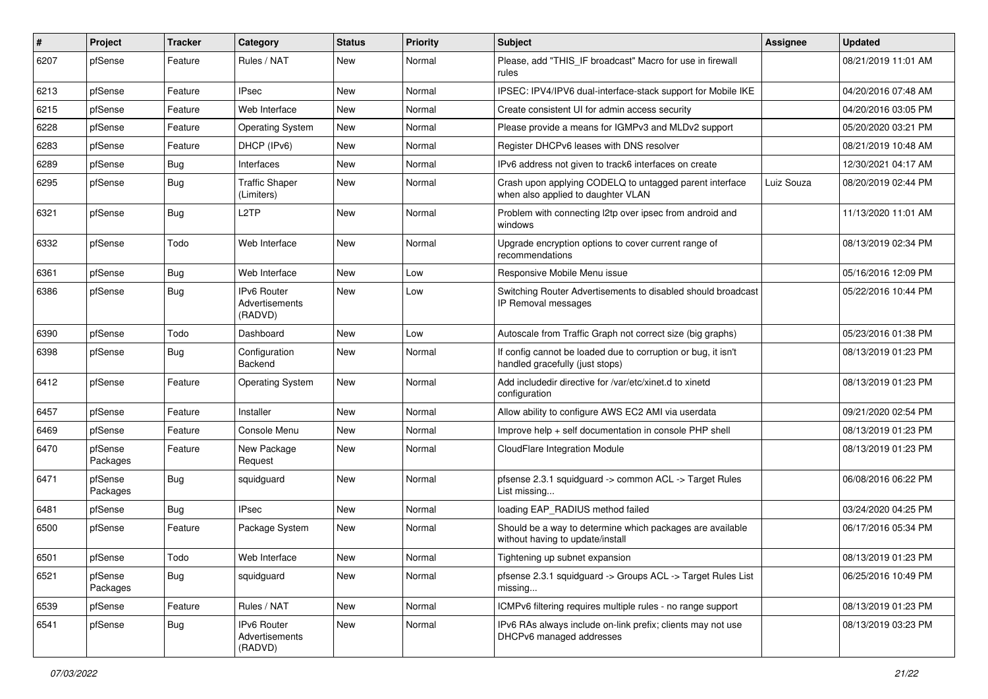| ∦    | Project             | <b>Tracker</b> | Category                                 | <b>Status</b> | <b>Priority</b> | <b>Subject</b>                                                                                   | <b>Assignee</b> | <b>Updated</b>      |
|------|---------------------|----------------|------------------------------------------|---------------|-----------------|--------------------------------------------------------------------------------------------------|-----------------|---------------------|
| 6207 | pfSense             | Feature        | Rules / NAT                              | New           | Normal          | Please, add "THIS IF broadcast" Macro for use in firewall<br>rules                               |                 | 08/21/2019 11:01 AM |
| 6213 | pfSense             | Feature        | <b>IPsec</b>                             | New           | Normal          | IPSEC: IPV4/IPV6 dual-interface-stack support for Mobile IKE                                     |                 | 04/20/2016 07:48 AM |
| 6215 | pfSense             | Feature        | Web Interface                            | New           | Normal          | Create consistent UI for admin access security                                                   |                 | 04/20/2016 03:05 PM |
| 6228 | pfSense             | Feature        | <b>Operating System</b>                  | New           | Normal          | Please provide a means for IGMPv3 and MLDv2 support                                              |                 | 05/20/2020 03:21 PM |
| 6283 | pfSense             | Feature        | DHCP (IPv6)                              | New           | Normal          | Register DHCPv6 leases with DNS resolver                                                         |                 | 08/21/2019 10:48 AM |
| 6289 | pfSense             | Bug            | Interfaces                               | New           | Normal          | IPv6 address not given to track6 interfaces on create                                            |                 | 12/30/2021 04:17 AM |
| 6295 | pfSense             | <b>Bug</b>     | <b>Traffic Shaper</b><br>(Limiters)      | New           | Normal          | Crash upon applying CODELQ to untagged parent interface<br>when also applied to daughter VLAN    | Luiz Souza      | 08/20/2019 02:44 PM |
| 6321 | pfSense             | Bug            | L <sub>2</sub> TP                        | New           | Normal          | Problem with connecting I2tp over ipsec from android and<br>windows                              |                 | 11/13/2020 11:01 AM |
| 6332 | pfSense             | Todo           | Web Interface                            | New           | Normal          | Upgrade encryption options to cover current range of<br>recommendations                          |                 | 08/13/2019 02:34 PM |
| 6361 | pfSense             | Bug            | Web Interface                            | New           | Low             | Responsive Mobile Menu issue                                                                     |                 | 05/16/2016 12:09 PM |
| 6386 | pfSense             | Bug            | IPv6 Router<br>Advertisements<br>(RADVD) | <b>New</b>    | Low             | Switching Router Advertisements to disabled should broadcast<br>IP Removal messages              |                 | 05/22/2016 10:44 PM |
| 6390 | pfSense             | Todo           | Dashboard                                | New           | Low             | Autoscale from Traffic Graph not correct size (big graphs)                                       |                 | 05/23/2016 01:38 PM |
| 6398 | pfSense             | Bug            | Configuration<br>Backend                 | New           | Normal          | If config cannot be loaded due to corruption or bug, it isn't<br>handled gracefully (just stops) |                 | 08/13/2019 01:23 PM |
| 6412 | pfSense             | Feature        | <b>Operating System</b>                  | New           | Normal          | Add includedir directive for /var/etc/xinet.d to xinetd<br>configuration                         |                 | 08/13/2019 01:23 PM |
| 6457 | pfSense             | Feature        | Installer                                | <b>New</b>    | Normal          | Allow ability to configure AWS EC2 AMI via userdata                                              |                 | 09/21/2020 02:54 PM |
| 6469 | pfSense             | Feature        | Console Menu                             | New           | Normal          | Improve help + self documentation in console PHP shell                                           |                 | 08/13/2019 01:23 PM |
| 6470 | pfSense<br>Packages | Feature        | New Package<br>Request                   | New           | Normal          | CloudFlare Integration Module                                                                    |                 | 08/13/2019 01:23 PM |
| 6471 | pfSense<br>Packages | Bug            | squidguard                               | New           | Normal          | pfsense 2.3.1 squidguard -> common ACL -> Target Rules<br>List missing                           |                 | 06/08/2016 06:22 PM |
| 6481 | pfSense             | Bug            | <b>IPsec</b>                             | New           | Normal          | loading EAP RADIUS method failed                                                                 |                 | 03/24/2020 04:25 PM |
| 6500 | pfSense             | Feature        | Package System                           | New           | Normal          | Should be a way to determine which packages are available<br>without having to update/install    |                 | 06/17/2016 05:34 PM |
| 6501 | pfSense             | Todo           | Web Interface                            | New           | Normal          | Tightening up subnet expansion                                                                   |                 | 08/13/2019 01:23 PM |
| 6521 | pfSense<br>Packages | Bug            | squidguard                               | New           | Normal          | pfsense 2.3.1 squidguard -> Groups ACL -> Target Rules List<br>missing                           |                 | 06/25/2016 10:49 PM |
| 6539 | pfSense             | Feature        | Rules / NAT                              | New           | Normal          | ICMPv6 filtering requires multiple rules - no range support                                      |                 | 08/13/2019 01:23 PM |
| 6541 | pfSense             | Bug            | IPv6 Router<br>Advertisements<br>(RADVD) | New           | Normal          | IPv6 RAs always include on-link prefix; clients may not use<br>DHCPv6 managed addresses          |                 | 08/13/2019 03:23 PM |